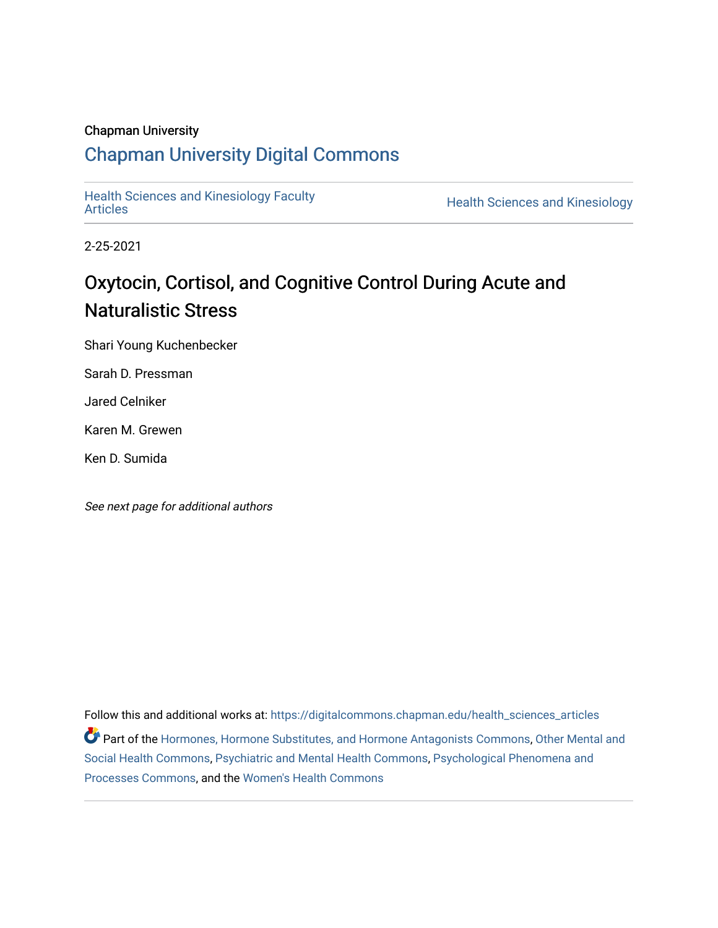# Chapman University

# [Chapman University Digital Commons](https://digitalcommons.chapman.edu/)

[Health Sciences and Kinesiology Faculty](https://digitalcommons.chapman.edu/health_sciences_articles) 

**Health Sciences and Kinesiology** 

2-25-2021

# Oxytocin, Cortisol, and Cognitive Control During Acute and Naturalistic Stress

Shari Young Kuchenbecker

Sarah D. Pressman

Jared Celniker

Karen M. Grewen

Ken D. Sumida

See next page for additional authors

Follow this and additional works at: [https://digitalcommons.chapman.edu/health\\_sciences\\_articles](https://digitalcommons.chapman.edu/health_sciences_articles?utm_source=digitalcommons.chapman.edu%2Fhealth_sciences_articles%2F11&utm_medium=PDF&utm_campaign=PDFCoverPages) Part of the [Hormones, Hormone Substitutes, and Hormone Antagonists Commons](http://network.bepress.com/hgg/discipline/952?utm_source=digitalcommons.chapman.edu%2Fhealth_sciences_articles%2F11&utm_medium=PDF&utm_campaign=PDFCoverPages), [Other Mental and](http://network.bepress.com/hgg/discipline/717?utm_source=digitalcommons.chapman.edu%2Fhealth_sciences_articles%2F11&utm_medium=PDF&utm_campaign=PDFCoverPages) [Social Health Commons](http://network.bepress.com/hgg/discipline/717?utm_source=digitalcommons.chapman.edu%2Fhealth_sciences_articles%2F11&utm_medium=PDF&utm_campaign=PDFCoverPages), [Psychiatric and Mental Health Commons](http://network.bepress.com/hgg/discipline/711?utm_source=digitalcommons.chapman.edu%2Fhealth_sciences_articles%2F11&utm_medium=PDF&utm_campaign=PDFCoverPages), [Psychological Phenomena and](http://network.bepress.com/hgg/discipline/914?utm_source=digitalcommons.chapman.edu%2Fhealth_sciences_articles%2F11&utm_medium=PDF&utm_campaign=PDFCoverPages) [Processes Commons](http://network.bepress.com/hgg/discipline/914?utm_source=digitalcommons.chapman.edu%2Fhealth_sciences_articles%2F11&utm_medium=PDF&utm_campaign=PDFCoverPages), and the [Women's Health Commons](http://network.bepress.com/hgg/discipline/1241?utm_source=digitalcommons.chapman.edu%2Fhealth_sciences_articles%2F11&utm_medium=PDF&utm_campaign=PDFCoverPages)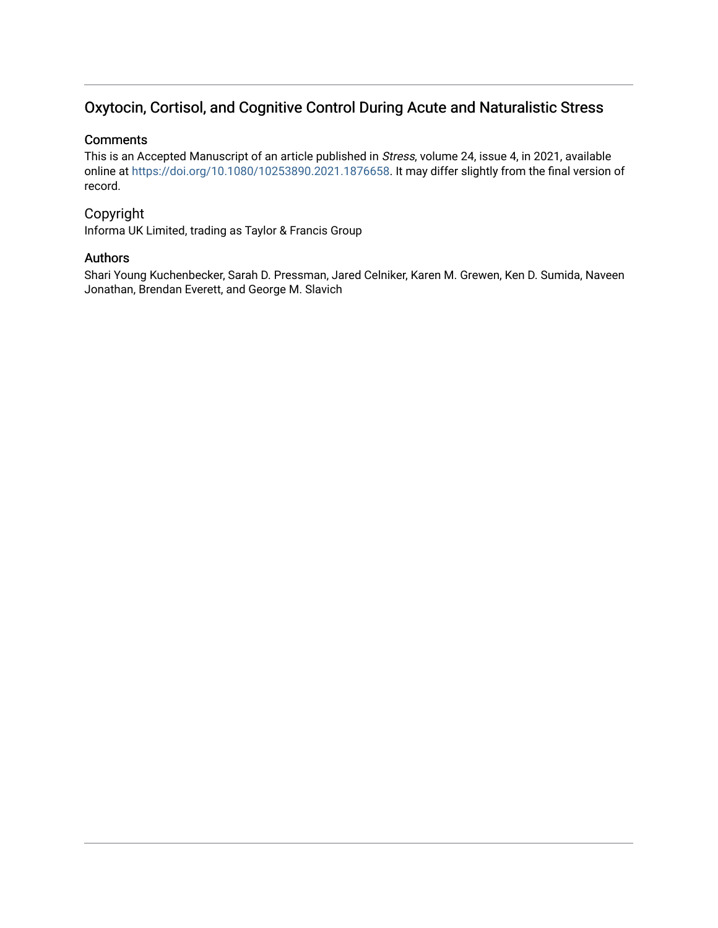# Oxytocin, Cortisol, and Cognitive Control During Acute and Naturalistic Stress

# **Comments**

This is an Accepted Manuscript of an article published in Stress, volume 24, issue 4, in 2021, available online at <https://doi.org/10.1080/10253890.2021.1876658>. It may differ slightly from the final version of record.

# Copyright

Informa UK Limited, trading as Taylor & Francis Group

# Authors

Shari Young Kuchenbecker, Sarah D. Pressman, Jared Celniker, Karen M. Grewen, Ken D. Sumida, Naveen Jonathan, Brendan Everett, and George M. Slavich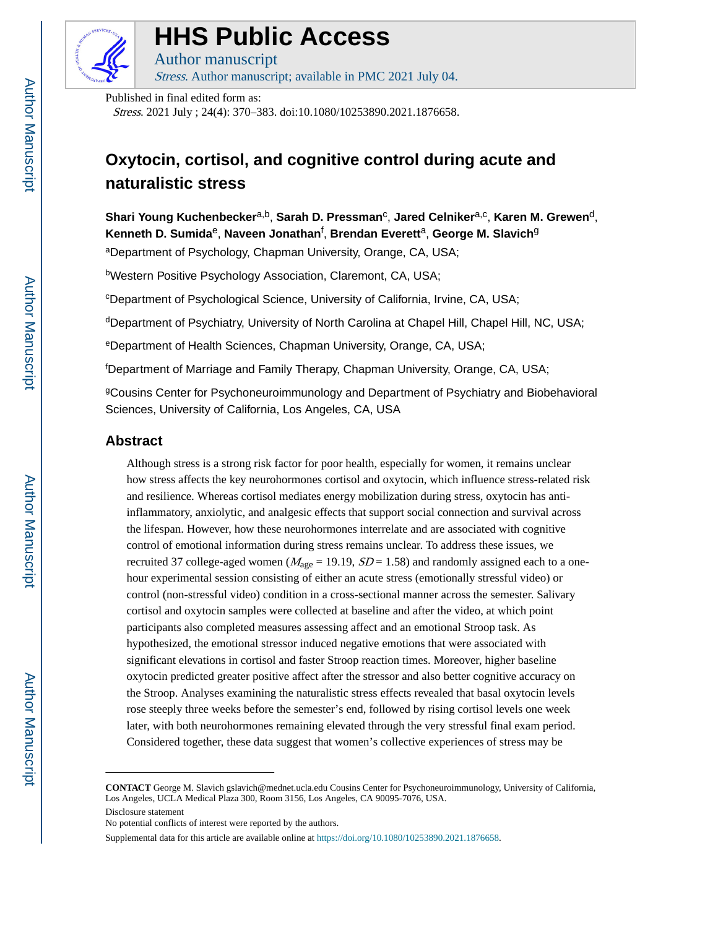

# **HHS Public Access**

Author manuscript Stress. Author manuscript; available in PMC 2021 July 04.

Published in final edited form as:

Stress. 2021 July ; 24(4): 370–383. doi:10.1080/10253890.2021.1876658.

# **Oxytocin, cortisol, and cognitive control during acute and naturalistic stress**

 $Shari$  Young Kuchenbecker<sup>a,b</sup>, Sarah D. Pressman<sup>c</sup>, Jared Celniker<sup>a,c</sup>, Karen M. Grewen<sup>d</sup>, **Kenneth D. Sumida**e, **Naveen Jonathan**<sup>f</sup> , **Brendan Everett**a, **George M. Slavich**<sup>g</sup>

<sup>a</sup>Department of Psychology, Chapman University, Orange, CA, USA;

<sup>b</sup>Western Positive Psychology Association, Claremont, CA, USA;

<sup>c</sup>Department of Psychological Science, University of California, Irvine, CA, USA;

dDepartment of Psychiatry, University of North Carolina at Chapel Hill, Chapel Hill, NC, USA;

<sup>e</sup>Department of Health Sciences, Chapman University, Orange, CA, USA;

<sup>f</sup>Department of Marriage and Family Therapy, Chapman University, Orange, CA, USA;

<sup>g</sup>Cousins Center for Psychoneuroimmunology and Department of Psychiatry and Biobehavioral Sciences, University of California, Los Angeles, CA, USA

# **Abstract**

Although stress is a strong risk factor for poor health, especially for women, it remains unclear how stress affects the key neurohormones cortisol and oxytocin, which influence stress-related risk and resilience. Whereas cortisol mediates energy mobilization during stress, oxytocin has antiinflammatory, anxiolytic, and analgesic effects that support social connection and survival across the lifespan. However, how these neurohormones interrelate and are associated with cognitive control of emotional information during stress remains unclear. To address these issues, we recruited 37 college-aged women ( $M_{\text{age}} = 19.19$ ,  $SD = 1.58$ ) and randomly assigned each to a onehour experimental session consisting of either an acute stress (emotionally stressful video) or control (non-stressful video) condition in a cross-sectional manner across the semester. Salivary cortisol and oxytocin samples were collected at baseline and after the video, at which point participants also completed measures assessing affect and an emotional Stroop task. As hypothesized, the emotional stressor induced negative emotions that were associated with significant elevations in cortisol and faster Stroop reaction times. Moreover, higher baseline oxytocin predicted greater positive affect after the stressor and also better cognitive accuracy on the Stroop. Analyses examining the naturalistic stress effects revealed that basal oxytocin levels rose steeply three weeks before the semester's end, followed by rising cortisol levels one week later, with both neurohormones remaining elevated through the very stressful final exam period. Considered together, these data suggest that women's collective experiences of stress may be

**CONTACT** George M. Slavich gslavich@mednet.ucla.edu Cousins Center for Psychoneuroimmunology, University of California, Los Angeles, UCLA Medical Plaza 300, Room 3156, Los Angeles, CA 90095-7076, USA.

Disclosure statement

Supplemental data for this article are available online at https://doi.org/10.1080/10253890.2021.1876658.

No potential conflicts of interest were reported by the authors.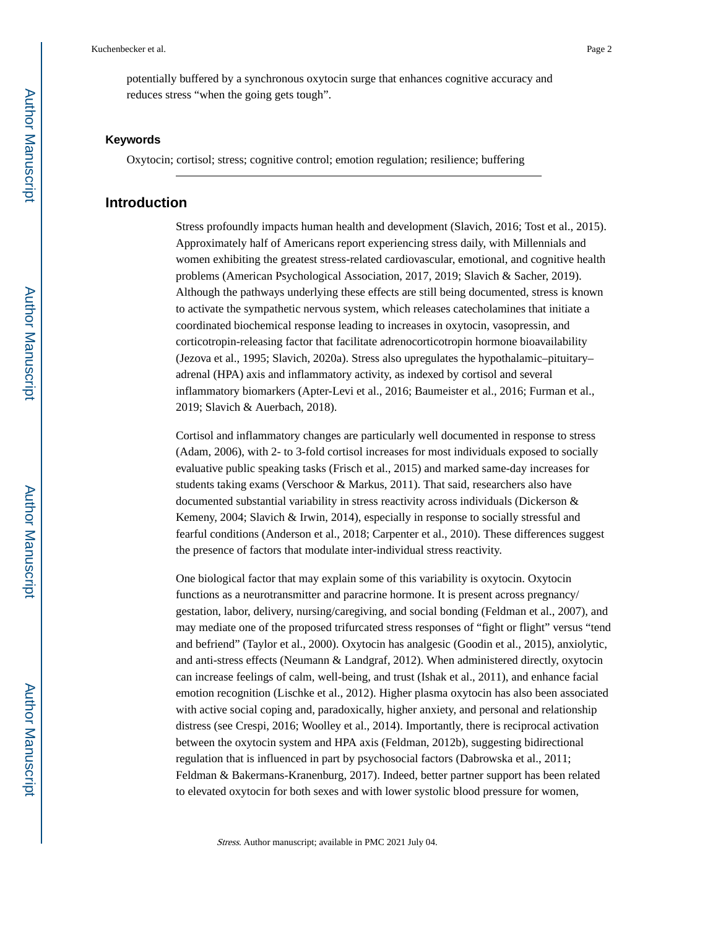potentially buffered by a synchronous oxytocin surge that enhances cognitive accuracy and reduces stress "when the going gets tough".

#### **Keywords**

Oxytocin; cortisol; stress; cognitive control; emotion regulation; resilience; buffering

# **Introduction**

Stress profoundly impacts human health and development (Slavich, 2016; Tost et al., 2015). Approximately half of Americans report experiencing stress daily, with Millennials and women exhibiting the greatest stress-related cardiovascular, emotional, and cognitive health problems (American Psychological Association, 2017, 2019; Slavich & Sacher, 2019). Although the pathways underlying these effects are still being documented, stress is known to activate the sympathetic nervous system, which releases catecholamines that initiate a coordinated biochemical response leading to increases in oxytocin, vasopressin, and corticotropin-releasing factor that facilitate adrenocorticotropin hormone bioavailability (Jezova et al., 1995; Slavich, 2020a). Stress also upregulates the hypothalamic–pituitary– adrenal (HPA) axis and inflammatory activity, as indexed by cortisol and several inflammatory biomarkers (Apter-Levi et al., 2016; Baumeister et al., 2016; Furman et al., 2019; Slavich & Auerbach, 2018).

Cortisol and inflammatory changes are particularly well documented in response to stress (Adam, 2006), with 2- to 3-fold cortisol increases for most individuals exposed to socially evaluative public speaking tasks (Frisch et al., 2015) and marked same-day increases for students taking exams (Verschoor & Markus, 2011). That said, researchers also have documented substantial variability in stress reactivity across individuals (Dickerson & Kemeny, 2004; Slavich & Irwin, 2014), especially in response to socially stressful and fearful conditions (Anderson et al., 2018; Carpenter et al., 2010). These differences suggest the presence of factors that modulate inter-individual stress reactivity.

One biological factor that may explain some of this variability is oxytocin. Oxytocin functions as a neurotransmitter and paracrine hormone. It is present across pregnancy/ gestation, labor, delivery, nursing/caregiving, and social bonding (Feldman et al., 2007), and may mediate one of the proposed trifurcated stress responses of "fight or flight" versus "tend and befriend" (Taylor et al., 2000). Oxytocin has analgesic (Goodin et al., 2015), anxiolytic, and anti-stress effects (Neumann  $&$  Landgraf, 2012). When administered directly, oxytocin can increase feelings of calm, well-being, and trust (Ishak et al., 2011), and enhance facial emotion recognition (Lischke et al., 2012). Higher plasma oxytocin has also been associated with active social coping and, paradoxically, higher anxiety, and personal and relationship distress (see Crespi, 2016; Woolley et al., 2014). Importantly, there is reciprocal activation between the oxytocin system and HPA axis (Feldman, 2012b), suggesting bidirectional regulation that is influenced in part by psychosocial factors (Dabrowska et al., 2011; Feldman & Bakermans-Kranenburg, 2017). Indeed, better partner support has been related to elevated oxytocin for both sexes and with lower systolic blood pressure for women,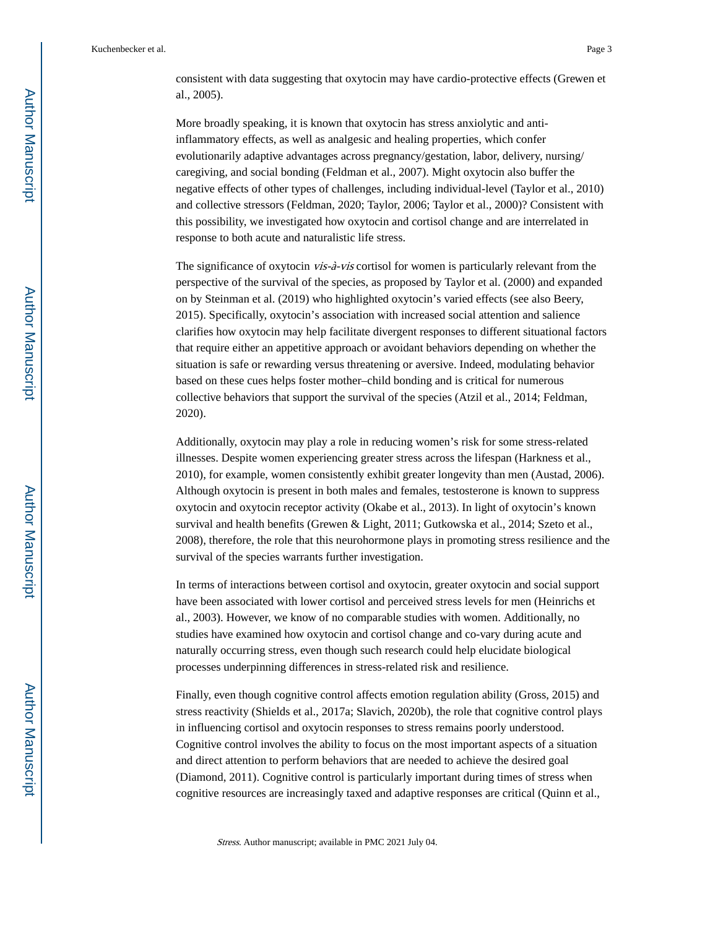consistent with data suggesting that oxytocin may have cardio-protective effects (Grewen et al., 2005).

More broadly speaking, it is known that oxytocin has stress anxiolytic and antiinflammatory effects, as well as analgesic and healing properties, which confer evolutionarily adaptive advantages across pregnancy/gestation, labor, delivery, nursing/ caregiving, and social bonding (Feldman et al., 2007). Might oxytocin also buffer the negative effects of other types of challenges, including individual-level (Taylor et al., 2010) and collective stressors (Feldman, 2020; Taylor, 2006; Taylor et al., 2000)? Consistent with this possibility, we investigated how oxytocin and cortisol change and are interrelated in response to both acute and naturalistic life stress.

The significance of oxytocin *vis-à-vis* cortisol for women is particularly relevant from the perspective of the survival of the species, as proposed by Taylor et al. (2000) and expanded on by Steinman et al. (2019) who highlighted oxytocin's varied effects (see also Beery, 2015). Specifically, oxytocin's association with increased social attention and salience clarifies how oxytocin may help facilitate divergent responses to different situational factors that require either an appetitive approach or avoidant behaviors depending on whether the situation is safe or rewarding versus threatening or aversive. Indeed, modulating behavior based on these cues helps foster mother–child bonding and is critical for numerous collective behaviors that support the survival of the species (Atzil et al., 2014; Feldman, 2020).

Additionally, oxytocin may play a role in reducing women's risk for some stress-related illnesses. Despite women experiencing greater stress across the lifespan (Harkness et al., 2010), for example, women consistently exhibit greater longevity than men (Austad, 2006). Although oxytocin is present in both males and females, testosterone is known to suppress oxytocin and oxytocin receptor activity (Okabe et al., 2013). In light of oxytocin's known survival and health benefits (Grewen & Light, 2011; Gutkowska et al., 2014; Szeto et al., 2008), therefore, the role that this neurohormone plays in promoting stress resilience and the survival of the species warrants further investigation.

In terms of interactions between cortisol and oxytocin, greater oxytocin and social support have been associated with lower cortisol and perceived stress levels for men (Heinrichs et al., 2003). However, we know of no comparable studies with women. Additionally, no studies have examined how oxytocin and cortisol change and co-vary during acute and naturally occurring stress, even though such research could help elucidate biological processes underpinning differences in stress-related risk and resilience.

Finally, even though cognitive control affects emotion regulation ability (Gross, 2015) and stress reactivity (Shields et al., 2017a; Slavich, 2020b), the role that cognitive control plays in influencing cortisol and oxytocin responses to stress remains poorly understood. Cognitive control involves the ability to focus on the most important aspects of a situation and direct attention to perform behaviors that are needed to achieve the desired goal (Diamond, 2011). Cognitive control is particularly important during times of stress when cognitive resources are increasingly taxed and adaptive responses are critical (Quinn et al.,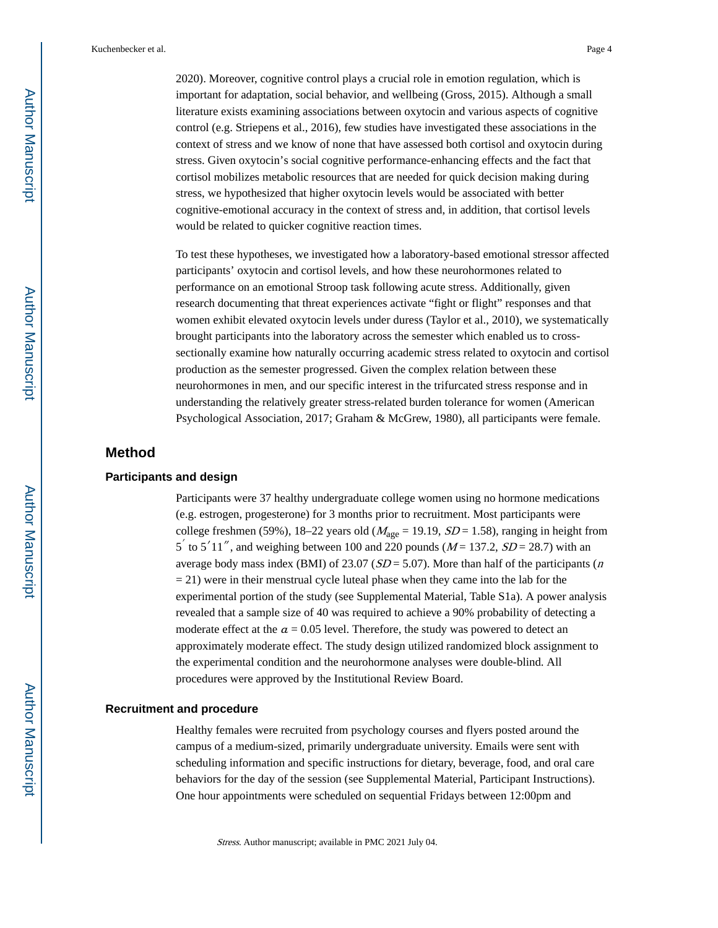2020). Moreover, cognitive control plays a crucial role in emotion regulation, which is important for adaptation, social behavior, and wellbeing (Gross, 2015). Although a small literature exists examining associations between oxytocin and various aspects of cognitive control (e.g. Striepens et al., 2016), few studies have investigated these associations in the context of stress and we know of none that have assessed both cortisol and oxytocin during stress. Given oxytocin's social cognitive performance-enhancing effects and the fact that cortisol mobilizes metabolic resources that are needed for quick decision making during stress, we hypothesized that higher oxytocin levels would be associated with better cognitive-emotional accuracy in the context of stress and, in addition, that cortisol levels would be related to quicker cognitive reaction times.

To test these hypotheses, we investigated how a laboratory-based emotional stressor affected participants' oxytocin and cortisol levels, and how these neurohormones related to performance on an emotional Stroop task following acute stress. Additionally, given research documenting that threat experiences activate "fight or flight" responses and that women exhibit elevated oxytocin levels under duress (Taylor et al., 2010), we systematically brought participants into the laboratory across the semester which enabled us to crosssectionally examine how naturally occurring academic stress related to oxytocin and cortisol production as the semester progressed. Given the complex relation between these neurohormones in men, and our specific interest in the trifurcated stress response and in understanding the relatively greater stress-related burden tolerance for women (American Psychological Association, 2017; Graham & McGrew, 1980), all participants were female.

# **Method**

#### **Participants and design**

Participants were 37 healthy undergraduate college women using no hormone medications (e.g. estrogen, progesterone) for 3 months prior to recruitment. Most participants were college freshmen (59%), 18–22 years old ( $M_{\text{age}} = 19.19$ ,  $SD = 1.58$ ), ranging in height from  $5'$  to  $5'11''$ , and weighing between 100 and 220 pounds ( $M = 137.2$ ,  $SD = 28.7$ ) with an average body mass index (BMI) of 23.07 ( $SD = 5.07$ ). More than half of the participants (*n*  $= 21$ ) were in their menstrual cycle luteal phase when they came into the lab for the experimental portion of the study (see Supplemental Material, Table S1a). A power analysis revealed that a sample size of 40 was required to achieve a 90% probability of detecting a moderate effect at the  $a = 0.05$  level. Therefore, the study was powered to detect an approximately moderate effect. The study design utilized randomized block assignment to the experimental condition and the neurohormone analyses were double-blind. All procedures were approved by the Institutional Review Board.

#### **Recruitment and procedure**

Healthy females were recruited from psychology courses and flyers posted around the campus of a medium-sized, primarily undergraduate university. Emails were sent with scheduling information and specific instructions for dietary, beverage, food, and oral care behaviors for the day of the session (see Supplemental Material, Participant Instructions). One hour appointments were scheduled on sequential Fridays between 12:00pm and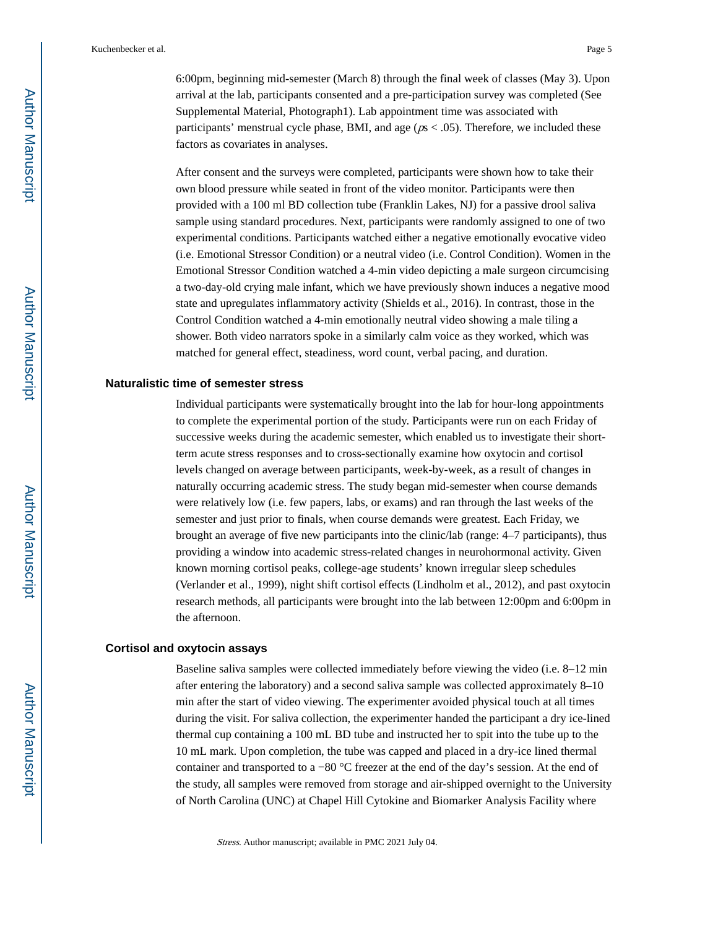6:00pm, beginning mid-semester (March 8) through the final week of classes (May 3). Upon arrival at the lab, participants consented and a pre-participation survey was completed (See Supplemental Material, Photograph1). Lab appointment time was associated with participants' menstrual cycle phase, BMI, and age ( $p s < .05$ ). Therefore, we included these factors as covariates in analyses.

After consent and the surveys were completed, participants were shown how to take their own blood pressure while seated in front of the video monitor. Participants were then provided with a 100 ml BD collection tube (Franklin Lakes, NJ) for a passive drool saliva sample using standard procedures. Next, participants were randomly assigned to one of two experimental conditions. Participants watched either a negative emotionally evocative video (i.e. Emotional Stressor Condition) or a neutral video (i.e. Control Condition). Women in the Emotional Stressor Condition watched a 4-min video depicting a male surgeon circumcising a two-day-old crying male infant, which we have previously shown induces a negative mood state and upregulates inflammatory activity (Shields et al., 2016). In contrast, those in the Control Condition watched a 4-min emotionally neutral video showing a male tiling a shower. Both video narrators spoke in a similarly calm voice as they worked, which was matched for general effect, steadiness, word count, verbal pacing, and duration.

#### **Naturalistic time of semester stress**

Individual participants were systematically brought into the lab for hour-long appointments to complete the experimental portion of the study. Participants were run on each Friday of successive weeks during the academic semester, which enabled us to investigate their shortterm acute stress responses and to cross-sectionally examine how oxytocin and cortisol levels changed on average between participants, week-by-week, as a result of changes in naturally occurring academic stress. The study began mid-semester when course demands were relatively low (i.e. few papers, labs, or exams) and ran through the last weeks of the semester and just prior to finals, when course demands were greatest. Each Friday, we brought an average of five new participants into the clinic/lab (range: 4–7 participants), thus providing a window into academic stress-related changes in neurohormonal activity. Given known morning cortisol peaks, college-age students' known irregular sleep schedules (Verlander et al., 1999), night shift cortisol effects (Lindholm et al., 2012), and past oxytocin research methods, all participants were brought into the lab between 12:00pm and 6:00pm in the afternoon.

#### **Cortisol and oxytocin assays**

Baseline saliva samples were collected immediately before viewing the video (i.e. 8–12 min after entering the laboratory) and a second saliva sample was collected approximately 8–10 min after the start of video viewing. The experimenter avoided physical touch at all times during the visit. For saliva collection, the experimenter handed the participant a dry ice-lined thermal cup containing a 100 mL BD tube and instructed her to spit into the tube up to the 10 mL mark. Upon completion, the tube was capped and placed in a dry-ice lined thermal container and transported to a −80 °C freezer at the end of the day's session. At the end of the study, all samples were removed from storage and air-shipped overnight to the University of North Carolina (UNC) at Chapel Hill Cytokine and Biomarker Analysis Facility where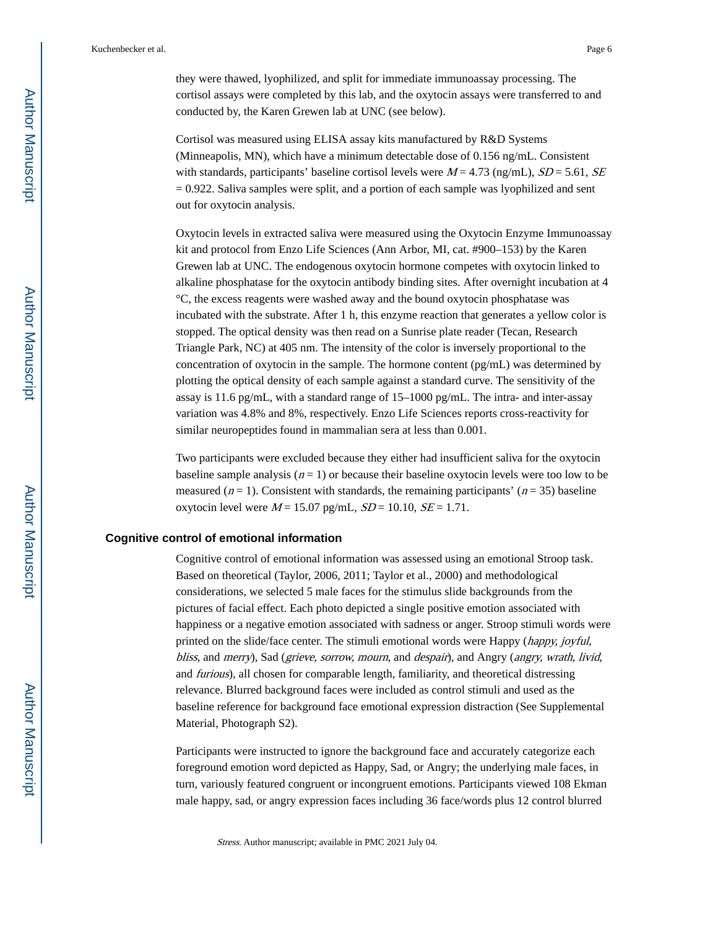they were thawed, lyophilized, and split for immediate immunoassay processing. The cortisol assays were completed by this lab, and the oxytocin assays were transferred to and conducted by, the Karen Grewen lab at UNC (see below).

Cortisol was measured using ELISA assay kits manufactured by R&D Systems (Minneapolis, MN), which have a minimum detectable dose of 0.156 ng/mL. Consistent with standards, participants' baseline cortisol levels were  $M = 4.73$  (ng/mL),  $SD = 5.61$ ,  $SE$  $= 0.922$ . Saliva samples were split, and a portion of each sample was lyophilized and sent out for oxytocin analysis.

Oxytocin levels in extracted saliva were measured using the Oxytocin Enzyme Immunoassay kit and protocol from Enzo Life Sciences (Ann Arbor, MI, cat. #900–153) by the Karen Grewen lab at UNC. The endogenous oxytocin hormone competes with oxytocin linked to alkaline phosphatase for the oxytocin antibody binding sites. After overnight incubation at 4 °C, the excess reagents were washed away and the bound oxytocin phosphatase was incubated with the substrate. After 1 h, this enzyme reaction that generates a yellow color is stopped. The optical density was then read on a Sunrise plate reader (Tecan, Research Triangle Park, NC) at 405 nm. The intensity of the color is inversely proportional to the concentration of oxytocin in the sample. The hormone content (pg/mL) was determined by plotting the optical density of each sample against a standard curve. The sensitivity of the assay is 11.6 pg/mL, with a standard range of  $15-1000$  pg/mL. The intra- and inter-assay variation was 4.8% and 8%, respectively. Enzo Life Sciences reports cross-reactivity for similar neuropeptides found in mammalian sera at less than 0.001.

Two participants were excluded because they either had insufficient saliva for the oxytocin baseline sample analysis  $(n = 1)$  or because their baseline oxytocin levels were too low to be measured ( $n = 1$ ). Consistent with standards, the remaining participants' ( $n = 35$ ) baseline oxytocin level were  $M = 15.07$  pg/mL,  $SD = 10.10$ ,  $SE = 1.71$ .

### **Cognitive control of emotional information**

Cognitive control of emotional information was assessed using an emotional Stroop task. Based on theoretical (Taylor, 2006, 2011; Taylor et al., 2000) and methodological considerations, we selected 5 male faces for the stimulus slide backgrounds from the pictures of facial effect. Each photo depicted a single positive emotion associated with happiness or a negative emotion associated with sadness or anger. Stroop stimuli words were printed on the slide/face center. The stimuli emotional words were Happy (happy, joyful, bliss, and merry), Sad (grieve, sorrow, mourn, and despair), and Angry (angry, wrath, livid, and furious), all chosen for comparable length, familiarity, and theoretical distressing relevance. Blurred background faces were included as control stimuli and used as the baseline reference for background face emotional expression distraction (See Supplemental Material, Photograph S2).

Participants were instructed to ignore the background face and accurately categorize each foreground emotion word depicted as Happy, Sad, or Angry; the underlying male faces, in turn, variously featured congruent or incongruent emotions. Participants viewed 108 Ekman male happy, sad, or angry expression faces including 36 face/words plus 12 control blurred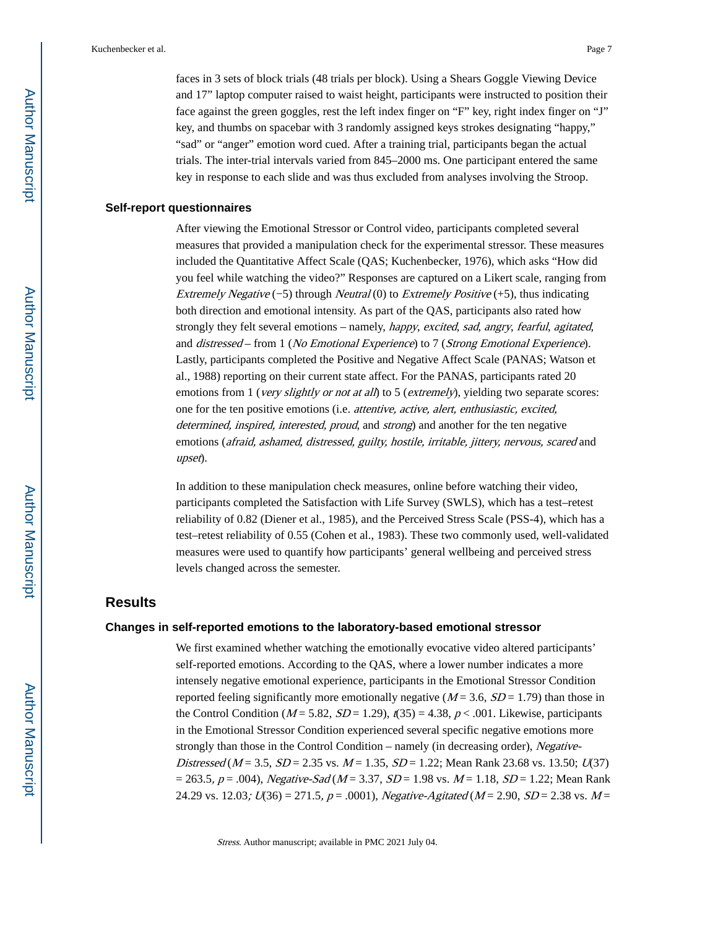faces in 3 sets of block trials (48 trials per block). Using a Shears Goggle Viewing Device and 17" laptop computer raised to waist height, participants were instructed to position their face against the green goggles, rest the left index finger on "F" key, right index finger on "J" key, and thumbs on spacebar with 3 randomly assigned keys strokes designating "happy," "sad" or "anger" emotion word cued. After a training trial, participants began the actual trials. The inter-trial intervals varied from 845–2000 ms. One participant entered the same key in response to each slide and was thus excluded from analyses involving the Stroop.

#### **Self-report questionnaires**

After viewing the Emotional Stressor or Control video, participants completed several measures that provided a manipulation check for the experimental stressor. These measures included the Quantitative Affect Scale (QAS; Kuchenbecker, 1976), which asks "How did you feel while watching the video?" Responses are captured on a Likert scale, ranging from Extremely Negative  $(-5)$  through Neutral (0) to Extremely Positive  $(+5)$ , thus indicating both direction and emotional intensity. As part of the QAS, participants also rated how strongly they felt several emotions – namely, happy, excited, sad, angry, fearful, agitated, and distressed – from 1 (No Emotional Experience) to 7 (Strong Emotional Experience). Lastly, participants completed the Positive and Negative Affect Scale (PANAS; Watson et al., 1988) reporting on their current state affect. For the PANAS, participants rated 20 emotions from 1 (*very slightly or not at all*) to 5 (*extremely*), yielding two separate scores: one for the ten positive emotions (i.e. attentive, active, alert, enthusiastic, excited, determined, inspired, interested, proud, and strong) and another for the ten negative emotions (afraid, ashamed, distressed, guilty, hostile, irritable, jittery, nervous, scared and upset).

In addition to these manipulation check measures, online before watching their video, participants completed the Satisfaction with Life Survey (SWLS), which has a test–retest reliability of 0.82 (Diener et al., 1985), and the Perceived Stress Scale (PSS-4), which has a test–retest reliability of 0.55 (Cohen et al., 1983). These two commonly used, well-validated measures were used to quantify how participants' general wellbeing and perceived stress levels changed across the semester.

# **Results**

#### **Changes in self-reported emotions to the laboratory-based emotional stressor**

We first examined whether watching the emotionally evocative video altered participants' self-reported emotions. According to the QAS, where a lower number indicates a more intensely negative emotional experience, participants in the Emotional Stressor Condition reported feeling significantly more emotionally negative ( $M = 3.6$ ,  $SD = 1.79$ ) than those in the Control Condition ( $M = 5.82$ ,  $SD = 1.29$ ),  $f(35) = 4.38$ ,  $p < .001$ . Likewise, participants in the Emotional Stressor Condition experienced several specific negative emotions more strongly than those in the Control Condition – namely (in decreasing order), Negative-Distressed ( $M = 3.5$ ,  $SD = 2.35$  vs.  $M = 1.35$ ,  $SD = 1.22$ ; Mean Rank 23.68 vs. 13.50;  $U(37)$  $= 263.5, p = .004$ ), Negative-Sad (M = 3.37, SD = 1.98 vs. M = 1.18, SD = 1.22; Mean Rank 24.29 vs. 12.03;  $U(36) = 271.5$ ,  $p = .0001$ ), Negative-Agitated (M = 2.90, SD = 2.38 vs. M =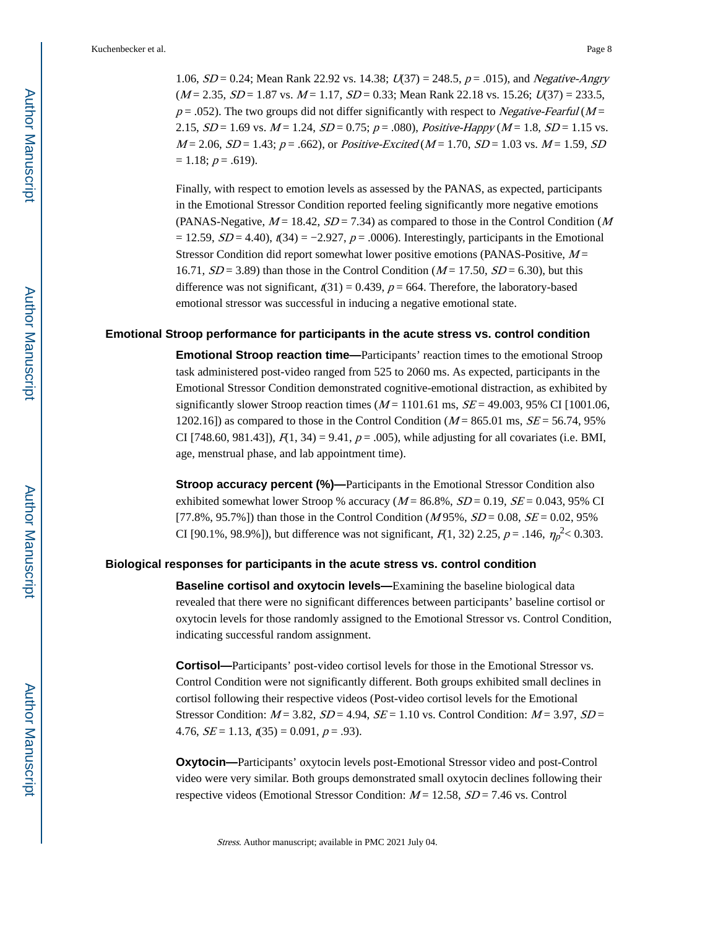1.06,  $SD = 0.24$ ; Mean Rank 22.92 vs. 14.38;  $U(37) = 248.5$ ,  $p = .015$ ), and *Negative-Angry*  $(M = 2.35, SD = 1.87$  vs.  $M = 1.17, SD = 0.33$ ; Mean Rank 22.18 vs. 15.26;  $U(37) = 233.5$ ,  $p = .052$ ). The two groups did not differ significantly with respect to *Negative-Fearful* ( $M =$ 2.15,  $SD = 1.69$  vs.  $M = 1.24$ ,  $SD = 0.75$ ;  $p = .080$ ), Positive-Happy ( $M = 1.8$ ,  $SD = 1.15$  vs.  $M = 2.06$ ,  $SD = 1.43$ ;  $p = .662$ ), or *Positive-Excited* ( $M = 1.70$ ,  $SD = 1.03$  vs.  $M = 1.59$ ,  $SD$  $= 1.18$ ;  $p = .619$ ).

Finally, with respect to emotion levels as assessed by the PANAS, as expected, participants in the Emotional Stressor Condition reported feeling significantly more negative emotions (PANAS-Negative,  $M = 18.42$ ,  $SD = 7.34$ ) as compared to those in the Control Condition (M)  $= 12.59$ ,  $SD = 4.40$ ),  $t(34) = -2.927$ ,  $p = .0006$ ). Interestingly, participants in the Emotional Stressor Condition did report somewhat lower positive emotions (PANAS-Positive,  $M =$ 16.71,  $SD = 3.89$ ) than those in the Control Condition ( $M = 17.50$ ,  $SD = 6.30$ ), but this difference was not significant,  $\ell(31) = 0.439$ ,  $p = 664$ . Therefore, the laboratory-based emotional stressor was successful in inducing a negative emotional state.

#### **Emotional Stroop performance for participants in the acute stress vs. control condition**

**Emotional Stroop reaction time—**Participants' reaction times to the emotional Stroop task administered post-video ranged from 525 to 2060 ms. As expected, participants in the Emotional Stressor Condition demonstrated cognitive-emotional distraction, as exhibited by significantly slower Stroop reaction times ( $M = 1101.61$  ms,  $SE = 49.003$ , 95% CI [1001.06, 1202.16]) as compared to those in the Control Condition ( $M = 865.01$  ms,  $SE = 56.74$ , 95% CI [748.60, 981.43]),  $F(1, 34) = 9.41$ ,  $p = .005$ ), while adjusting for all covariates (i.e. BMI, age, menstrual phase, and lab appointment time).

**Stroop accuracy percent (%)—Participants in the Emotional Stressor Condition also** exhibited somewhat lower Stroop % accuracy  $(M = 86.8\%, SD = 0.19, SE = 0.043, 95\%$  CI [77.8%, 95.7%]) than those in the Control Condition ( $M$ 95%,  $SD = 0.08$ ,  $SE = 0.02$ , 95% CI [90.1%, 98.9%]), but difference was not significant,  $F(1, 32)$  2.25,  $p = .146$ ,  $\eta_p^2 < 0.303$ .

#### **Biological responses for participants in the acute stress vs. control condition**

**Baseline cortisol and oxytocin levels—**Examining the baseline biological data revealed that there were no significant differences between participants' baseline cortisol or oxytocin levels for those randomly assigned to the Emotional Stressor vs. Control Condition, indicating successful random assignment.

**Cortisol—**Participants' post-video cortisol levels for those in the Emotional Stressor vs. Control Condition were not significantly different. Both groups exhibited small declines in cortisol following their respective videos (Post-video cortisol levels for the Emotional Stressor Condition:  $M = 3.82$ ,  $SD = 4.94$ ,  $SE = 1.10$  vs. Control Condition:  $M = 3.97$ ,  $SD =$ 4.76,  $SE = 1.13$ ,  $t(35) = 0.091$ ,  $p = .93$ ).

**Oxytocin—**Participants' oxytocin levels post-Emotional Stressor video and post-Control video were very similar. Both groups demonstrated small oxytocin declines following their respective videos (Emotional Stressor Condition:  $M = 12.58$ ,  $SD = 7.46$  vs. Control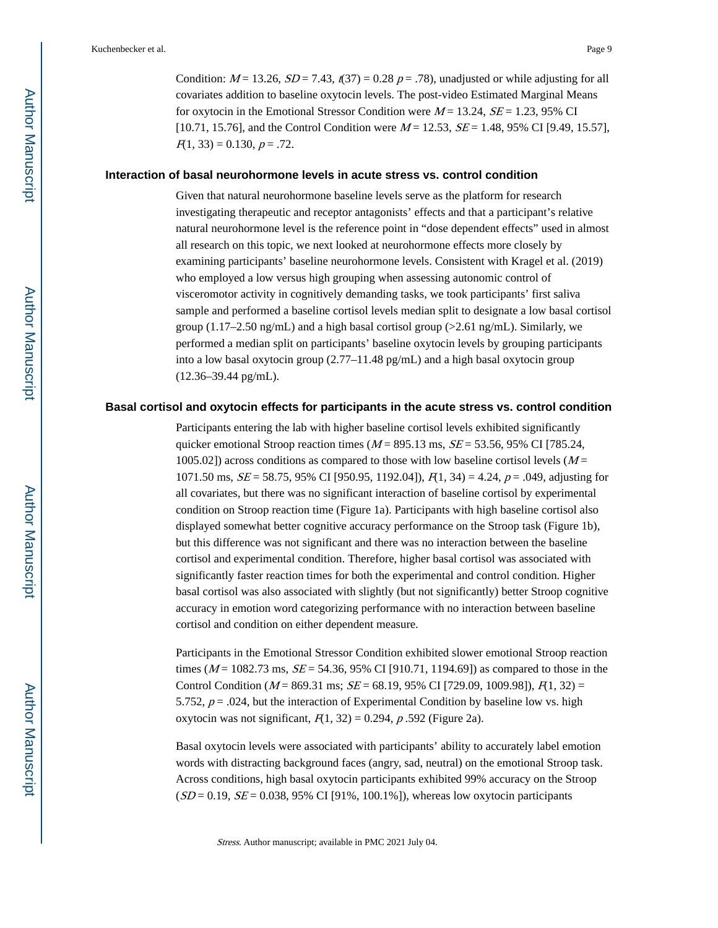Condition:  $M = 13.26$ ,  $SD = 7.43$ ,  $(37) = 0.28$   $p = .78$ ), unadjusted or while adjusting for all covariates addition to baseline oxytocin levels. The post-video Estimated Marginal Means for oxytocin in the Emotional Stressor Condition were  $M = 13.24$ ,  $SE = 1.23$ , 95% CI [10.71, 15.76], and the Control Condition were  $M = 12.53$ ,  $SE = 1.48$ , 95% CI [9.49, 15.57],  $F(1, 33) = 0.130, p = .72.$ 

#### **Interaction of basal neurohormone levels in acute stress vs. control condition**

Given that natural neurohormone baseline levels serve as the platform for research investigating therapeutic and receptor antagonists' effects and that a participant's relative natural neurohormone level is the reference point in "dose dependent effects" used in almost all research on this topic, we next looked at neurohormone effects more closely by examining participants' baseline neurohormone levels. Consistent with Kragel et al. (2019) who employed a low versus high grouping when assessing autonomic control of visceromotor activity in cognitively demanding tasks, we took participants' first saliva sample and performed a baseline cortisol levels median split to designate a low basal cortisol group (1.17–2.50 ng/mL) and a high basal cortisol group ( $>2.61$  ng/mL). Similarly, we performed a median split on participants' baseline oxytocin levels by grouping participants into a low basal oxytocin group (2.77–11.48 pg/mL) and a high basal oxytocin group (12.36–39.44 pg/mL).

#### **Basal cortisol and oxytocin effects for participants in the acute stress vs. control condition**

Participants entering the lab with higher baseline cortisol levels exhibited significantly quicker emotional Stroop reaction times ( $M = 895.13$  ms,  $SE = 53.56$ , 95% CI [785.24, 1005.02]) across conditions as compared to those with low baseline cortisol levels  $(M =$ 1071.50 ms,  $SE = 58.75$ , 95% CI [950.95, 1192.04]),  $F(1, 34) = 4.24$ ,  $p = .049$ , adjusting for all covariates, but there was no significant interaction of baseline cortisol by experimental condition on Stroop reaction time (Figure 1a). Participants with high baseline cortisol also displayed somewhat better cognitive accuracy performance on the Stroop task (Figure 1b), but this difference was not significant and there was no interaction between the baseline cortisol and experimental condition. Therefore, higher basal cortisol was associated with significantly faster reaction times for both the experimental and control condition. Higher basal cortisol was also associated with slightly (but not significantly) better Stroop cognitive accuracy in emotion word categorizing performance with no interaction between baseline cortisol and condition on either dependent measure.

Participants in the Emotional Stressor Condition exhibited slower emotional Stroop reaction times ( $M = 1082.73$  ms,  $SE = 54.36$ , 95% CI [910.71, 1194.69]) as compared to those in the Control Condition ( $M = 869.31$  ms;  $SE = 68.19$ , 95% CI [729.09, 1009.98]),  $F(1, 32) =$ 5.752,  $p = .024$ , but the interaction of Experimental Condition by baseline low vs. high oxytocin was not significant,  $F(1, 32) = 0.294$ , p.592 (Figure 2a).

Basal oxytocin levels were associated with participants' ability to accurately label emotion words with distracting background faces (angry, sad, neutral) on the emotional Stroop task. Across conditions, high basal oxytocin participants exhibited 99% accuracy on the Stroop  $(SD = 0.19, SE = 0.038, 95\% \text{ CI} [91\%, 100.1\%])$ , whereas low oxytocin participants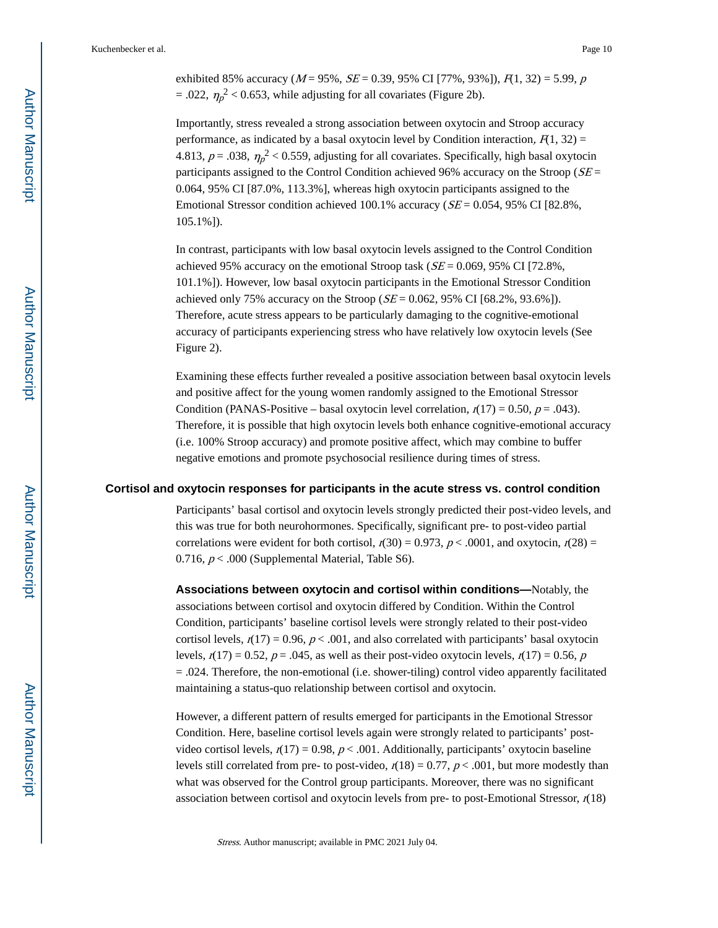exhibited 85% accuracy ( $M = 95\%$ ,  $SE = 0.39$ , 95% CI [77%, 93%]),  $F(1, 32) = 5.99$ , p  $= .022, \eta_p^2 < 0.653$ , while adjusting for all covariates (Figure 2b).

Importantly, stress revealed a strong association between oxytocin and Stroop accuracy performance, as indicated by a basal oxytocin level by Condition interaction,  $F(1, 32)$  = 4.813,  $p = .038$ ,  $\eta_p^2 < 0.559$ , adjusting for all covariates. Specifically, high basal oxytocin participants assigned to the Control Condition achieved 96% accuracy on the Stroop ( $SE =$ 0.064, 95% CI [87.0%, 113.3%], whereas high oxytocin participants assigned to the Emotional Stressor condition achieved 100.1% accuracy ( $SE = 0.054$ , 95% CI [82.8%, 105.1%]).

In contrast, participants with low basal oxytocin levels assigned to the Control Condition achieved 95% accuracy on the emotional Stroop task ( $SE = 0.069$ , 95% CI [72.8%, 101.1%]). However, low basal oxytocin participants in the Emotional Stressor Condition achieved only 75% accuracy on the Stroop ( $SE = 0.062$ , 95% CI [68.2%, 93.6%]). Therefore, acute stress appears to be particularly damaging to the cognitive-emotional accuracy of participants experiencing stress who have relatively low oxytocin levels (See Figure 2).

Examining these effects further revealed a positive association between basal oxytocin levels and positive affect for the young women randomly assigned to the Emotional Stressor Condition (PANAS-Positive – basal oxytocin level correlation,  $r(17) = 0.50$ ,  $p = .043$ ). Therefore, it is possible that high oxytocin levels both enhance cognitive-emotional accuracy (i.e. 100% Stroop accuracy) and promote positive affect, which may combine to buffer negative emotions and promote psychosocial resilience during times of stress.

#### **Cortisol and oxytocin responses for participants in the acute stress vs. control condition**

Participants' basal cortisol and oxytocin levels strongly predicted their post-video levels, and this was true for both neurohormones. Specifically, significant pre- to post-video partial correlations were evident for both cortisol,  $r(30) = 0.973$ ,  $p < .0001$ , and oxytocin,  $r(28) =$ 0.716,  $p < .000$  (Supplemental Material, Table S6).

**Associations between oxytocin and cortisol within conditions—**Notably, the associations between cortisol and oxytocin differed by Condition. Within the Control Condition, participants' baseline cortisol levels were strongly related to their post-video cortisol levels,  $r(17) = 0.96$ ,  $p < .001$ , and also correlated with participants' basal oxytocin levels,  $r(17) = 0.52$ ,  $p = .045$ , as well as their post-video oxytocin levels,  $r(17) = 0.56$ , p = .024. Therefore, the non-emotional (i.e. shower-tiling) control video apparently facilitated maintaining a status-quo relationship between cortisol and oxytocin.

However, a different pattern of results emerged for participants in the Emotional Stressor Condition. Here, baseline cortisol levels again were strongly related to participants' postvideo cortisol levels,  $r(17) = 0.98$ ,  $p < .001$ . Additionally, participants' oxytocin baseline levels still correlated from pre- to post-video,  $r(18) = 0.77$ ,  $p < .001$ , but more modestly than what was observed for the Control group participants. Moreover, there was no significant association between cortisol and oxytocin levels from pre- to post-Emotional Stressor,  $r(18)$ 

Stress. Author manuscript; available in PMC 2021 July 04.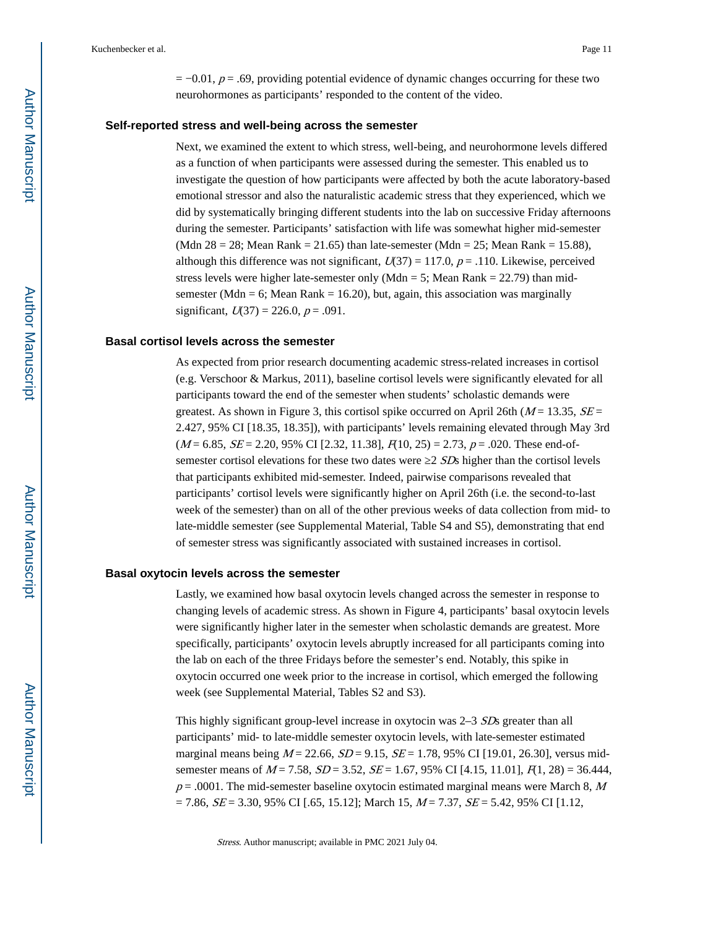$= -0.01$ ,  $p = .69$ , providing potential evidence of dynamic changes occurring for these two neurohormones as participants' responded to the content of the video.

#### **Self-reported stress and well-being across the semester**

Next, we examined the extent to which stress, well-being, and neurohormone levels differed as a function of when participants were assessed during the semester. This enabled us to investigate the question of how participants were affected by both the acute laboratory-based emotional stressor and also the naturalistic academic stress that they experienced, which we did by systematically bringing different students into the lab on successive Friday afternoons during the semester. Participants' satisfaction with life was somewhat higher mid-semester (Mdn  $28 = 28$ ; Mean Rank = 21.65) than late-semester (Mdn = 25; Mean Rank = 15.88), although this difference was not significant,  $U(37) = 117.0$ ,  $p = .110$ . Likewise, perceived stress levels were higher late-semester only (Mdn = 5; Mean Rank =  $22.79$ ) than midsemester (Mdn = 6; Mean Rank = 16.20), but, again, this association was marginally significant,  $U(37) = 226.0, p = .091$ .

#### **Basal cortisol levels across the semester**

As expected from prior research documenting academic stress-related increases in cortisol (e.g. Verschoor & Markus, 2011), baseline cortisol levels were significantly elevated for all participants toward the end of the semester when students' scholastic demands were greatest. As shown in Figure 3, this cortisol spike occurred on April 26th ( $M = 13.35$ ,  $SE =$ 2.427, 95% CI [18.35, 18.35]), with participants' levels remaining elevated through May 3rd  $(M = 6.85, SE = 2.20, 95\% \text{ CI} [2.32, 11.38], R10, 25) = 2.73, p = .020.$  These end-ofsemester cortisol elevations for these two dates were 2 SDs higher than the cortisol levels that participants exhibited mid-semester. Indeed, pairwise comparisons revealed that participants' cortisol levels were significantly higher on April 26th (i.e. the second-to-last week of the semester) than on all of the other previous weeks of data collection from mid- to late-middle semester (see Supplemental Material, Table S4 and S5), demonstrating that end of semester stress was significantly associated with sustained increases in cortisol.

#### **Basal oxytocin levels across the semester**

Lastly, we examined how basal oxytocin levels changed across the semester in response to changing levels of academic stress. As shown in Figure 4, participants' basal oxytocin levels were significantly higher later in the semester when scholastic demands are greatest. More specifically, participants' oxytocin levels abruptly increased for all participants coming into the lab on each of the three Fridays before the semester's end. Notably, this spike in oxytocin occurred one week prior to the increase in cortisol, which emerged the following week (see Supplemental Material, Tables S2 and S3).

This highly significant group-level increase in oxytocin was 2–3 SDs greater than all participants' mid- to late-middle semester oxytocin levels, with late-semester estimated marginal means being  $M = 22.66$ ,  $SD = 9.15$ ,  $SE = 1.78$ , 95% CI [19.01, 26.30], versus midsemester means of  $M = 7.58$ ,  $SD = 3.52$ ,  $SE = 1.67$ , 95% CI [4.15, 11.01],  $R_1$ , 28) = 36.444,  $p = .0001$ . The mid-semester baseline oxytocin estimated marginal means were March 8, M  $= 7.86$ ,  $SE = 3.30$ , 95% CI [.65, 15.12]; March 15,  $M = 7.37$ ,  $SE = 5.42$ , 95% CI [1.12,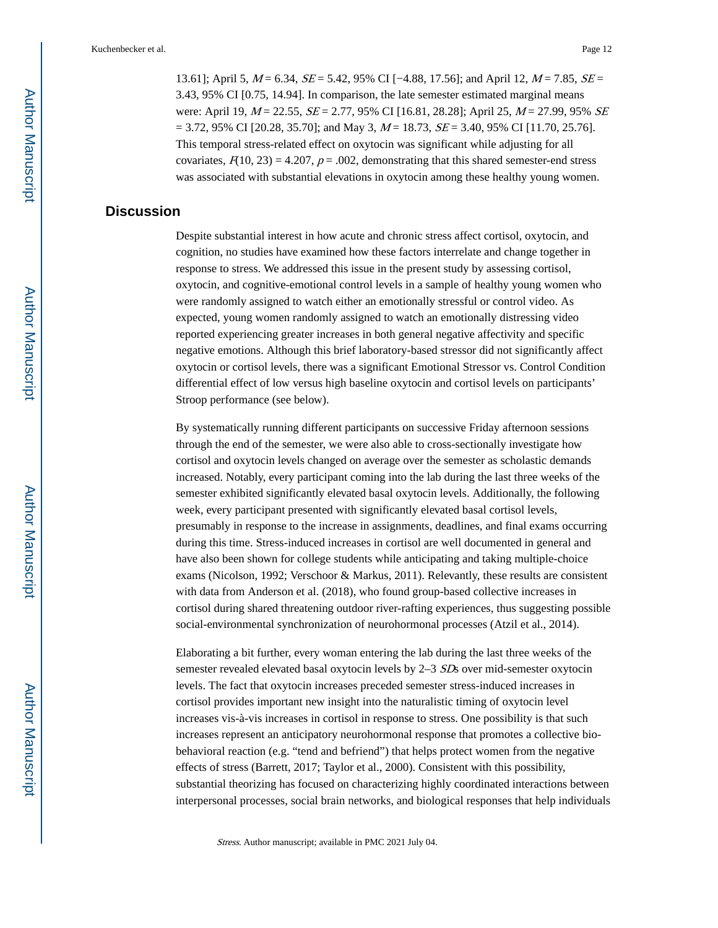13.61]; April 5,  $M = 6.34$ ,  $SE = 5.42$ , 95% CI [−4.88, 17.56]; and April 12,  $M = 7.85$ ,  $SE =$ 3.43, 95% CI [0.75, 14.94]. In comparison, the late semester estimated marginal means were: April 19,  $M = 22.55$ ,  $SE = 2.77$ , 95% CI [16.81, 28.28]; April 25,  $M = 27.99$ , 95% SE  $= 3.72, 95\% \text{ CI}$  [20.28, 35.70]; and May 3,  $M = 18.73$ ,  $SE = 3.40, 95\% \text{ CI}$  [11.70, 25.76]. This temporal stress-related effect on oxytocin was significant while adjusting for all covariates,  $F(10, 23) = 4.207$ ,  $p = .002$ , demonstrating that this shared semester-end stress was associated with substantial elevations in oxytocin among these healthy young women.

# **Discussion**

Despite substantial interest in how acute and chronic stress affect cortisol, oxytocin, and cognition, no studies have examined how these factors interrelate and change together in response to stress. We addressed this issue in the present study by assessing cortisol, oxytocin, and cognitive-emotional control levels in a sample of healthy young women who were randomly assigned to watch either an emotionally stressful or control video. As expected, young women randomly assigned to watch an emotionally distressing video reported experiencing greater increases in both general negative affectivity and specific negative emotions. Although this brief laboratory-based stressor did not significantly affect oxytocin or cortisol levels, there was a significant Emotional Stressor vs. Control Condition differential effect of low versus high baseline oxytocin and cortisol levels on participants' Stroop performance (see below).

By systematically running different participants on successive Friday afternoon sessions through the end of the semester, we were also able to cross-sectionally investigate how cortisol and oxytocin levels changed on average over the semester as scholastic demands increased. Notably, every participant coming into the lab during the last three weeks of the semester exhibited significantly elevated basal oxytocin levels. Additionally, the following week, every participant presented with significantly elevated basal cortisol levels, presumably in response to the increase in assignments, deadlines, and final exams occurring during this time. Stress-induced increases in cortisol are well documented in general and have also been shown for college students while anticipating and taking multiple-choice exams (Nicolson, 1992; Verschoor & Markus, 2011). Relevantly, these results are consistent with data from Anderson et al. (2018), who found group-based collective increases in cortisol during shared threatening outdoor river-rafting experiences, thus suggesting possible social-environmental synchronization of neurohormonal processes (Atzil et al., 2014).

Elaborating a bit further, every woman entering the lab during the last three weeks of the semester revealed elevated basal oxytocin levels by 2–3 SDs over mid-semester oxytocin levels. The fact that oxytocin increases preceded semester stress-induced increases in cortisol provides important new insight into the naturalistic timing of oxytocin level increases vis-à-vis increases in cortisol in response to stress. One possibility is that such increases represent an anticipatory neurohormonal response that promotes a collective biobehavioral reaction (e.g. "tend and befriend") that helps protect women from the negative effects of stress (Barrett, 2017; Taylor et al., 2000). Consistent with this possibility, substantial theorizing has focused on characterizing highly coordinated interactions between interpersonal processes, social brain networks, and biological responses that help individuals

Stress. Author manuscript; available in PMC 2021 July 04.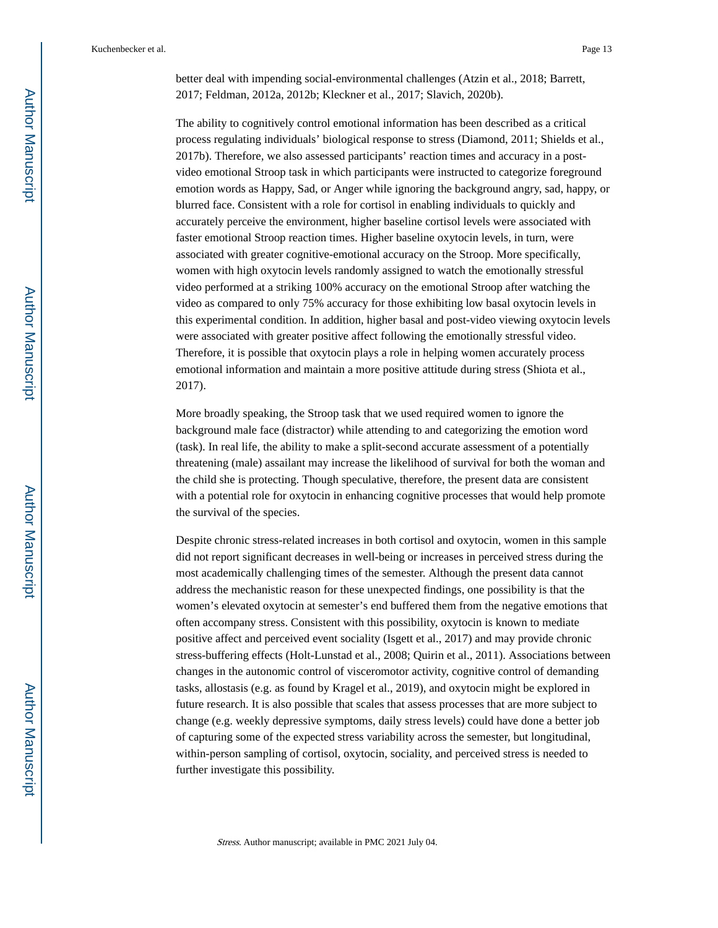better deal with impending social-environmental challenges (Atzin et al., 2018; Barrett, 2017; Feldman, 2012a, 2012b; Kleckner et al., 2017; Slavich, 2020b).

The ability to cognitively control emotional information has been described as a critical process regulating individuals' biological response to stress (Diamond, 2011; Shields et al., 2017b). Therefore, we also assessed participants' reaction times and accuracy in a postvideo emotional Stroop task in which participants were instructed to categorize foreground emotion words as Happy, Sad, or Anger while ignoring the background angry, sad, happy, or blurred face. Consistent with a role for cortisol in enabling individuals to quickly and accurately perceive the environment, higher baseline cortisol levels were associated with faster emotional Stroop reaction times. Higher baseline oxytocin levels, in turn, were associated with greater cognitive-emotional accuracy on the Stroop. More specifically, women with high oxytocin levels randomly assigned to watch the emotionally stressful video performed at a striking 100% accuracy on the emotional Stroop after watching the video as compared to only 75% accuracy for those exhibiting low basal oxytocin levels in this experimental condition. In addition, higher basal and post-video viewing oxytocin levels were associated with greater positive affect following the emotionally stressful video. Therefore, it is possible that oxytocin plays a role in helping women accurately process emotional information and maintain a more positive attitude during stress (Shiota et al., 2017).

More broadly speaking, the Stroop task that we used required women to ignore the background male face (distractor) while attending to and categorizing the emotion word (task). In real life, the ability to make a split-second accurate assessment of a potentially threatening (male) assailant may increase the likelihood of survival for both the woman and the child she is protecting. Though speculative, therefore, the present data are consistent with a potential role for oxytocin in enhancing cognitive processes that would help promote the survival of the species.

Despite chronic stress-related increases in both cortisol and oxytocin, women in this sample did not report significant decreases in well-being or increases in perceived stress during the most academically challenging times of the semester. Although the present data cannot address the mechanistic reason for these unexpected findings, one possibility is that the women's elevated oxytocin at semester's end buffered them from the negative emotions that often accompany stress. Consistent with this possibility, oxytocin is known to mediate positive affect and perceived event sociality (Isgett et al., 2017) and may provide chronic stress-buffering effects (Holt-Lunstad et al., 2008; Quirin et al., 2011). Associations between changes in the autonomic control of visceromotor activity, cognitive control of demanding tasks, allostasis (e.g. as found by Kragel et al., 2019), and oxytocin might be explored in future research. It is also possible that scales that assess processes that are more subject to change (e.g. weekly depressive symptoms, daily stress levels) could have done a better job of capturing some of the expected stress variability across the semester, but longitudinal, within-person sampling of cortisol, oxytocin, sociality, and perceived stress is needed to further investigate this possibility.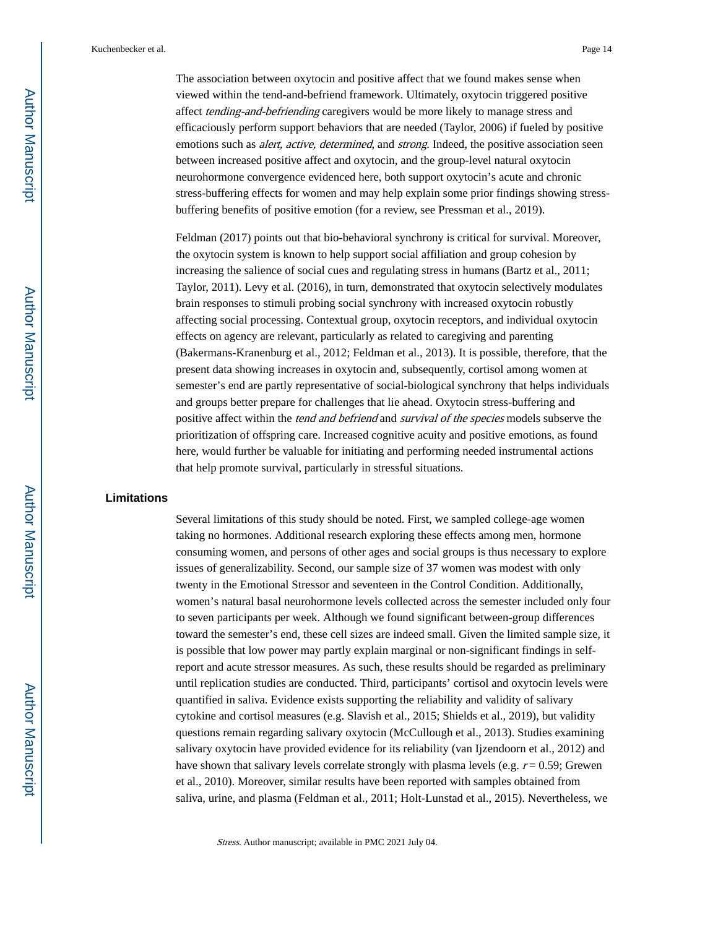The association between oxytocin and positive affect that we found makes sense when viewed within the tend-and-befriend framework. Ultimately, oxytocin triggered positive affect tending-and-befriending caregivers would be more likely to manage stress and efficaciously perform support behaviors that are needed (Taylor, 2006) if fueled by positive emotions such as *alert, active, determined*, and *strong*. Indeed, the positive association seen between increased positive affect and oxytocin, and the group-level natural oxytocin neurohormone convergence evidenced here, both support oxytocin's acute and chronic stress-buffering effects for women and may help explain some prior findings showing stressbuffering benefits of positive emotion (for a review, see Pressman et al., 2019).

Feldman (2017) points out that bio-behavioral synchrony is critical for survival. Moreover, the oxytocin system is known to help support social affiliation and group cohesion by increasing the salience of social cues and regulating stress in humans (Bartz et al., 2011; Taylor, 2011). Levy et al. (2016), in turn, demonstrated that oxytocin selectively modulates brain responses to stimuli probing social synchrony with increased oxytocin robustly affecting social processing. Contextual group, oxytocin receptors, and individual oxytocin effects on agency are relevant, particularly as related to caregiving and parenting (Bakermans-Kranenburg et al., 2012; Feldman et al., 2013). It is possible, therefore, that the present data showing increases in oxytocin and, subsequently, cortisol among women at semester's end are partly representative of social-biological synchrony that helps individuals and groups better prepare for challenges that lie ahead. Oxytocin stress-buffering and positive affect within the tend and befriend and survival of the species models subserve the prioritization of offspring care. Increased cognitive acuity and positive emotions, as found here, would further be valuable for initiating and performing needed instrumental actions that help promote survival, particularly in stressful situations.

## **Limitations**

Several limitations of this study should be noted. First, we sampled college-age women taking no hormones. Additional research exploring these effects among men, hormone consuming women, and persons of other ages and social groups is thus necessary to explore issues of generalizability. Second, our sample size of 37 women was modest with only twenty in the Emotional Stressor and seventeen in the Control Condition. Additionally, women's natural basal neurohormone levels collected across the semester included only four to seven participants per week. Although we found significant between-group differences toward the semester's end, these cell sizes are indeed small. Given the limited sample size, it is possible that low power may partly explain marginal or non-significant findings in selfreport and acute stressor measures. As such, these results should be regarded as preliminary until replication studies are conducted. Third, participants' cortisol and oxytocin levels were quantified in saliva. Evidence exists supporting the reliability and validity of salivary cytokine and cortisol measures (e.g. Slavish et al., 2015; Shields et al., 2019), but validity questions remain regarding salivary oxytocin (McCullough et al., 2013). Studies examining salivary oxytocin have provided evidence for its reliability (van Ijzendoorn et al., 2012) and have shown that salivary levels correlate strongly with plasma levels (e.g.  $r = 0.59$ ; Grewen et al., 2010). Moreover, similar results have been reported with samples obtained from saliva, urine, and plasma (Feldman et al., 2011; Holt-Lunstad et al., 2015). Nevertheless, we

Stress. Author manuscript; available in PMC 2021 July 04.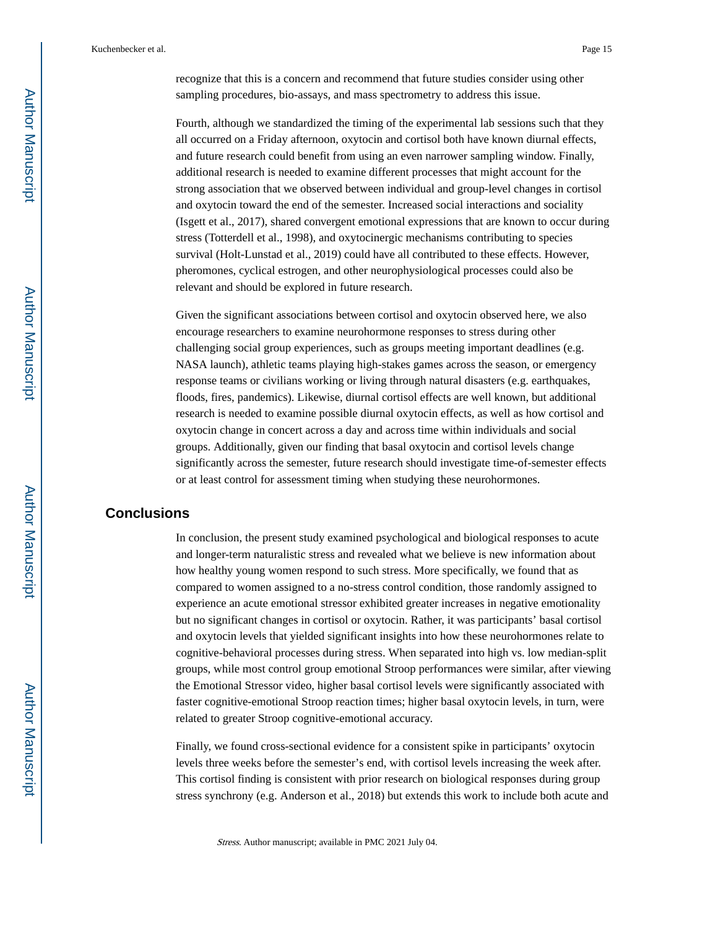recognize that this is a concern and recommend that future studies consider using other sampling procedures, bio-assays, and mass spectrometry to address this issue.

Fourth, although we standardized the timing of the experimental lab sessions such that they all occurred on a Friday afternoon, oxytocin and cortisol both have known diurnal effects, and future research could benefit from using an even narrower sampling window. Finally, additional research is needed to examine different processes that might account for the strong association that we observed between individual and group-level changes in cortisol and oxytocin toward the end of the semester. Increased social interactions and sociality (Isgett et al., 2017), shared convergent emotional expressions that are known to occur during stress (Totterdell et al., 1998), and oxytocinergic mechanisms contributing to species survival (Holt-Lunstad et al., 2019) could have all contributed to these effects. However, pheromones, cyclical estrogen, and other neurophysiological processes could also be relevant and should be explored in future research.

Given the significant associations between cortisol and oxytocin observed here, we also encourage researchers to examine neurohormone responses to stress during other challenging social group experiences, such as groups meeting important deadlines (e.g. NASA launch), athletic teams playing high-stakes games across the season, or emergency response teams or civilians working or living through natural disasters (e.g. earthquakes, floods, fires, pandemics). Likewise, diurnal cortisol effects are well known, but additional research is needed to examine possible diurnal oxytocin effects, as well as how cortisol and oxytocin change in concert across a day and across time within individuals and social groups. Additionally, given our finding that basal oxytocin and cortisol levels change significantly across the semester, future research should investigate time-of-semester effects or at least control for assessment timing when studying these neurohormones.

#### **Conclusions**

In conclusion, the present study examined psychological and biological responses to acute and longer-term naturalistic stress and revealed what we believe is new information about how healthy young women respond to such stress. More specifically, we found that as compared to women assigned to a no-stress control condition, those randomly assigned to experience an acute emotional stressor exhibited greater increases in negative emotionality but no significant changes in cortisol or oxytocin. Rather, it was participants' basal cortisol and oxytocin levels that yielded significant insights into how these neurohormones relate to cognitive-behavioral processes during stress. When separated into high vs. low median-split groups, while most control group emotional Stroop performances were similar, after viewing the Emotional Stressor video, higher basal cortisol levels were significantly associated with faster cognitive-emotional Stroop reaction times; higher basal oxytocin levels, in turn, were related to greater Stroop cognitive-emotional accuracy.

Finally, we found cross-sectional evidence for a consistent spike in participants' oxytocin levels three weeks before the semester's end, with cortisol levels increasing the week after. This cortisol finding is consistent with prior research on biological responses during group stress synchrony (e.g. Anderson et al., 2018) but extends this work to include both acute and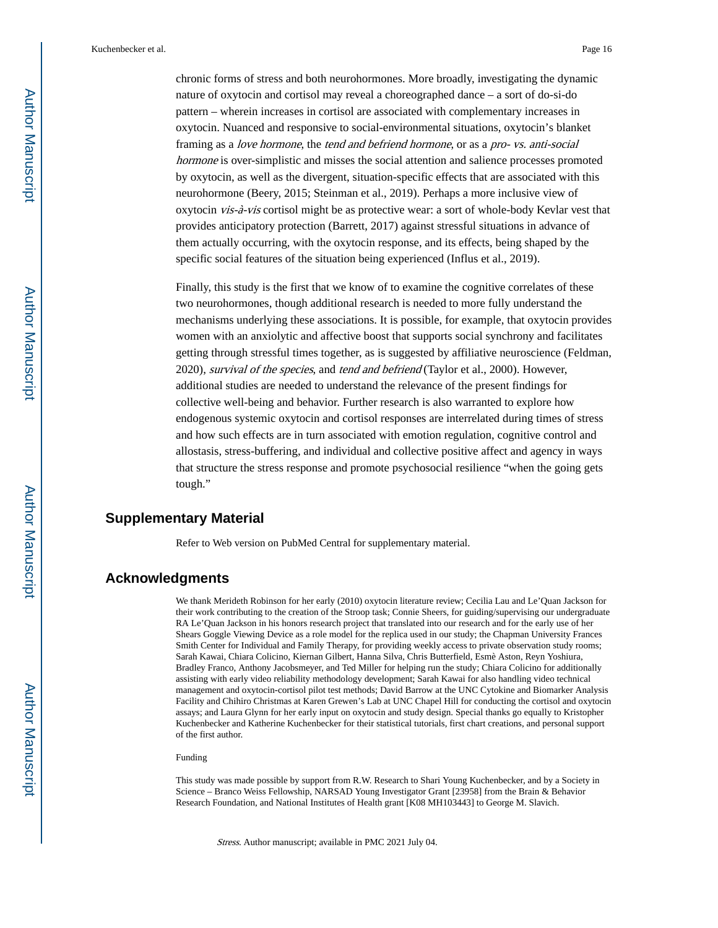chronic forms of stress and both neurohormones. More broadly, investigating the dynamic nature of oxytocin and cortisol may reveal a choreographed dance – a sort of do-si-do pattern – wherein increases in cortisol are associated with complementary increases in oxytocin. Nuanced and responsive to social-environmental situations, oxytocin's blanket framing as a love hormone, the tend and befriend hormone, or as a pro- vs. anti-social hormone is over-simplistic and misses the social attention and salience processes promoted by oxytocin, as well as the divergent, situation-specific effects that are associated with this neurohormone (Beery, 2015; Steinman et al., 2019). Perhaps a more inclusive view of oxytocin vis-à-vis cortisol might be as protective wear: a sort of whole-body Kevlar vest that provides anticipatory protection (Barrett, 2017) against stressful situations in advance of them actually occurring, with the oxytocin response, and its effects, being shaped by the specific social features of the situation being experienced (Influs et al., 2019).

Finally, this study is the first that we know of to examine the cognitive correlates of these two neurohormones, though additional research is needed to more fully understand the mechanisms underlying these associations. It is possible, for example, that oxytocin provides women with an anxiolytic and affective boost that supports social synchrony and facilitates getting through stressful times together, as is suggested by affiliative neuroscience (Feldman, 2020), survival of the species, and tend and befriend (Taylor et al., 2000). However, additional studies are needed to understand the relevance of the present findings for collective well-being and behavior. Further research is also warranted to explore how endogenous systemic oxytocin and cortisol responses are interrelated during times of stress and how such effects are in turn associated with emotion regulation, cognitive control and allostasis, stress-buffering, and individual and collective positive affect and agency in ways that structure the stress response and promote psychosocial resilience "when the going gets tough."

# **Supplementary Material**

Refer to Web version on PubMed Central for supplementary material.

# **Acknowledgments**

We thank Merideth Robinson for her early (2010) oxytocin literature review; Cecilia Lau and Le'Quan Jackson for their work contributing to the creation of the Stroop task; Connie Sheers, for guiding/supervising our undergraduate RA Le'Quan Jackson in his honors research project that translated into our research and for the early use of her Shears Goggle Viewing Device as a role model for the replica used in our study; the Chapman University Frances Smith Center for Individual and Family Therapy, for providing weekly access to private observation study rooms; Sarah Kawai, Chiara Colicino, Kiernan Gilbert, Hanna Silva, Chris Butterfield, Esmè Aston, Reyn Yoshiura, Bradley Franco, Anthony Jacobsmeyer, and Ted Miller for helping run the study; Chiara Colicino for additionally assisting with early video reliability methodology development; Sarah Kawai for also handling video technical management and oxytocin-cortisol pilot test methods; David Barrow at the UNC Cytokine and Biomarker Analysis Facility and Chihiro Christmas at Karen Grewen's Lab at UNC Chapel Hill for conducting the cortisol and oxytocin assays; and Laura Glynn for her early input on oxytocin and study design. Special thanks go equally to Kristopher Kuchenbecker and Katherine Kuchenbecker for their statistical tutorials, first chart creations, and personal support of the first author.

#### Funding

This study was made possible by support from R.W. Research to Shari Young Kuchenbecker, and by a Society in Science – Branco Weiss Fellowship, NARSAD Young Investigator Grant [23958] from the Brain & Behavior Research Foundation, and National Institutes of Health grant [K08 MH103443] to George M. Slavich.

Stress. Author manuscript; available in PMC 2021 July 04.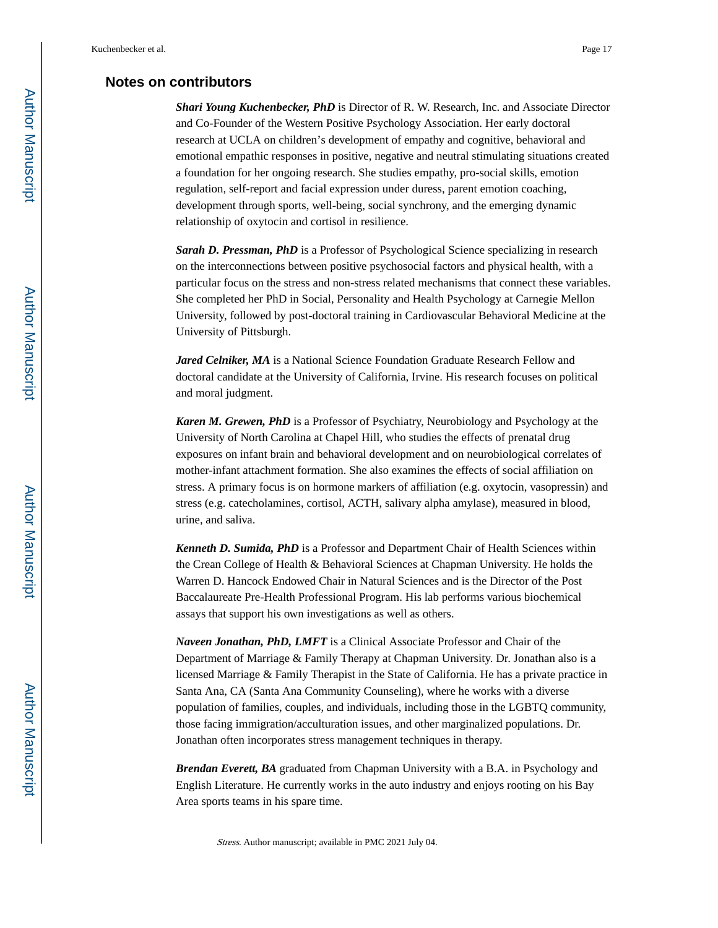## **Notes on contributors**

*Shari Young Kuchenbecker, PhD* is Director of R. W. Research, Inc. and Associate Director and Co-Founder of the Western Positive Psychology Association. Her early doctoral research at UCLA on children's development of empathy and cognitive, behavioral and emotional empathic responses in positive, negative and neutral stimulating situations created a foundation for her ongoing research. She studies empathy, pro-social skills, emotion regulation, self-report and facial expression under duress, parent emotion coaching, development through sports, well-being, social synchrony, and the emerging dynamic relationship of oxytocin and cortisol in resilience.

**Sarah D. Pressman, PhD** is a Professor of Psychological Science specializing in research on the interconnections between positive psychosocial factors and physical health, with a particular focus on the stress and non-stress related mechanisms that connect these variables. She completed her PhD in Social, Personality and Health Psychology at Carnegie Mellon University, followed by post-doctoral training in Cardiovascular Behavioral Medicine at the University of Pittsburgh.

*Jared Celniker, MA* is a National Science Foundation Graduate Research Fellow and doctoral candidate at the University of California, Irvine. His research focuses on political and moral judgment.

*Karen M. Grewen, PhD* is a Professor of Psychiatry, Neurobiology and Psychology at the University of North Carolina at Chapel Hill, who studies the effects of prenatal drug exposures on infant brain and behavioral development and on neurobiological correlates of mother-infant attachment formation. She also examines the effects of social affiliation on stress. A primary focus is on hormone markers of affiliation (e.g. oxytocin, vasopressin) and stress (e.g. catecholamines, cortisol, ACTH, salivary alpha amylase), measured in blood, urine, and saliva.

*Kenneth D. Sumida, PhD* is a Professor and Department Chair of Health Sciences within the Crean College of Health & Behavioral Sciences at Chapman University. He holds the Warren D. Hancock Endowed Chair in Natural Sciences and is the Director of the Post Baccalaureate Pre-Health Professional Program. His lab performs various biochemical assays that support his own investigations as well as others.

*Naveen Jonathan, PhD, LMFT* is a Clinical Associate Professor and Chair of the Department of Marriage & Family Therapy at Chapman University. Dr. Jonathan also is a licensed Marriage & Family Therapist in the State of California. He has a private practice in Santa Ana, CA (Santa Ana Community Counseling), where he works with a diverse population of families, couples, and individuals, including those in the LGBTQ community, those facing immigration/acculturation issues, and other marginalized populations. Dr. Jonathan often incorporates stress management techniques in therapy.

*Brendan Everett, BA* graduated from Chapman University with a B.A. in Psychology and English Literature. He currently works in the auto industry and enjoys rooting on his Bay Area sports teams in his spare time.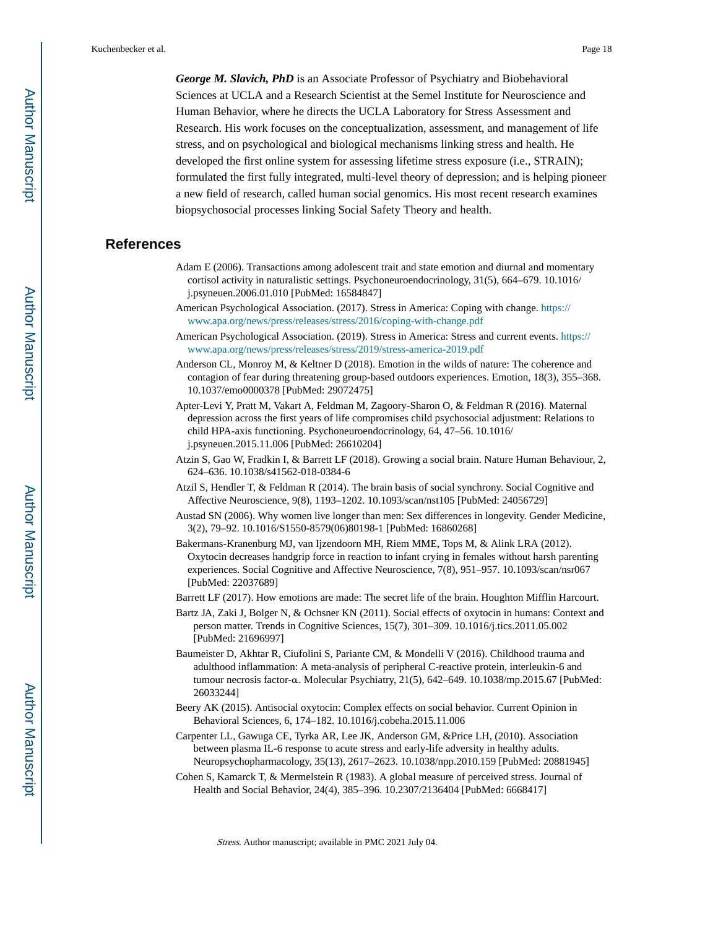*George M. Slavich, PhD* is an Associate Professor of Psychiatry and Biobehavioral Sciences at UCLA and a Research Scientist at the Semel Institute for Neuroscience and Human Behavior, where he directs the UCLA Laboratory for Stress Assessment and Research. His work focuses on the conceptualization, assessment, and management of life stress, and on psychological and biological mechanisms linking stress and health. He developed the first online system for assessing lifetime stress exposure (i.e., STRAIN); formulated the first fully integrated, multi-level theory of depression; and is helping pioneer a new field of research, called human social genomics. His most recent research examines biopsychosocial processes linking Social Safety Theory and health.

# **References**

- Adam E (2006). Transactions among adolescent trait and state emotion and diurnal and momentary cortisol activity in naturalistic settings. Psychoneuroendocrinology, 31(5), 664–679. 10.1016/ j.psyneuen.2006.01.010 [PubMed: 16584847]
- American Psychological Association. (2017). Stress in America: Coping with change. [https://](https://www.apa.org/news/press/releases/stress/2016/coping-with-change.pdf) [www.apa.org/news/press/releases/stress/2016/coping-with-change.pdf](https://www.apa.org/news/press/releases/stress/2016/coping-with-change.pdf)
- American Psychological Association. (2019). Stress in America: Stress and current events. [https://](https://www.apa.org/news/press/releases/stress/2019/stress-america-2019.pdf) [www.apa.org/news/press/releases/stress/2019/stress-america-2019.pdf](https://www.apa.org/news/press/releases/stress/2019/stress-america-2019.pdf)
- Anderson CL, Monroy M, & Keltner D (2018). Emotion in the wilds of nature: The coherence and contagion of fear during threatening group-based outdoors experiences. Emotion, 18(3), 355–368. 10.1037/emo0000378 [PubMed: 29072475]
- Apter-Levi Y, Pratt M, Vakart A, Feldman M, Zagoory-Sharon O, & Feldman R (2016). Maternal depression across the first years of life compromises child psychosocial adjustment: Relations to child HPA-axis functioning. Psychoneuroendocrinology, 64, 47–56. 10.1016/ j.psyneuen.2015.11.006 [PubMed: 26610204]
- Atzin S, Gao W, Fradkin I, & Barrett LF (2018). Growing a social brain. Nature Human Behaviour, 2, 624–636. 10.1038/s41562-018-0384-6
- Atzil S, Hendler T, & Feldman R (2014). The brain basis of social synchrony. Social Cognitive and Affective Neuroscience, 9(8), 1193–1202. 10.1093/scan/nst105 [PubMed: 24056729]
- Austad SN (2006). Why women live longer than men: Sex differences in longevity. Gender Medicine, 3(2), 79–92. 10.1016/S1550-8579(06)80198-1 [PubMed: 16860268]
- Bakermans-Kranenburg MJ, van Ijzendoorn MH, Riem MME, Tops M, & Alink LRA (2012). Oxytocin decreases handgrip force in reaction to infant crying in females without harsh parenting experiences. Social Cognitive and Affective Neuroscience, 7(8), 951–957. 10.1093/scan/nsr067 [PubMed: 22037689]
- Barrett LF (2017). How emotions are made: The secret life of the brain. Houghton Mifflin Harcourt.
- Bartz JA, Zaki J, Bolger N, & Ochsner KN (2011). Social effects of oxytocin in humans: Context and person matter. Trends in Cognitive Sciences, 15(7), 301–309. 10.1016/j.tics.2011.05.002 [PubMed: 21696997]
- Baumeister D, Akhtar R, Ciufolini S, Pariante CM, & Mondelli V (2016). Childhood trauma and adulthood inflammation: A meta-analysis of peripheral C-reactive protein, interleukin-6 and tumour necrosis factor-α. Molecular Psychiatry, 21(5), 642–649. 10.1038/mp.2015.67 [PubMed: 26033244]
- Beery AK (2015). Antisocial oxytocin: Complex effects on social behavior. Current Opinion in Behavioral Sciences, 6, 174–182. 10.1016/j.cobeha.2015.11.006
- Carpenter LL, Gawuga CE, Tyrka AR, Lee JK, Anderson GM, &Price LH, (2010). Association between plasma IL-6 response to acute stress and early-life adversity in healthy adults. Neuropsychopharmacology, 35(13), 2617–2623. 10.1038/npp.2010.159 [PubMed: 20881945]
- Cohen S, Kamarck T, & Mermelstein R (1983). A global measure of perceived stress. Journal of Health and Social Behavior, 24(4), 385–396. 10.2307/2136404 [PubMed: 6668417]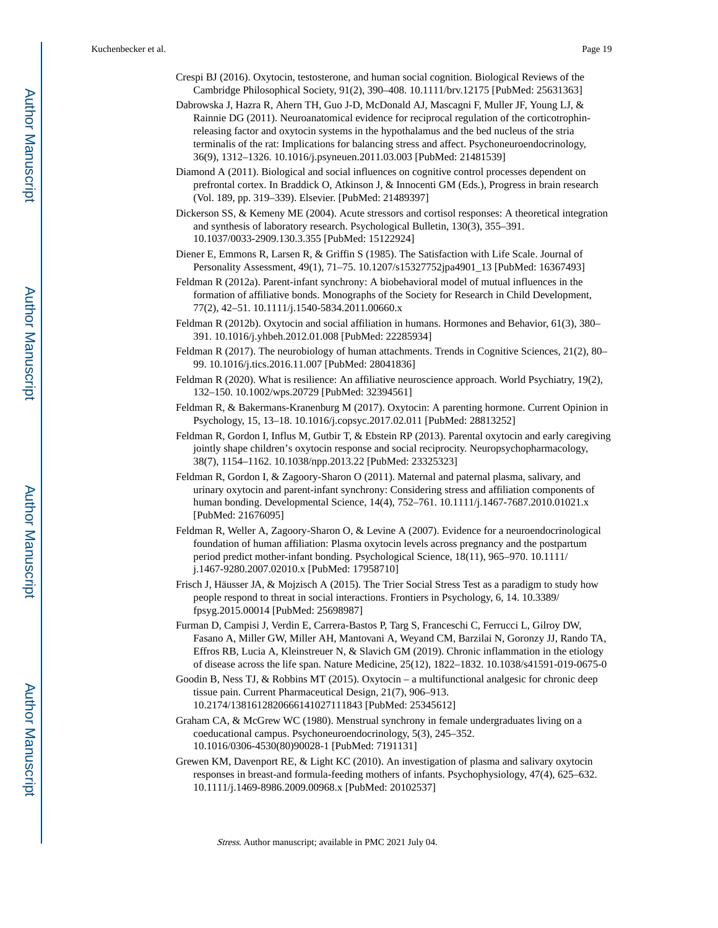- Crespi BJ (2016). Oxytocin, testosterone, and human social cognition. Biological Reviews of the Cambridge Philosophical Society, 91(2), 390–408. 10.1111/brv.12175 [PubMed: 25631363]
- Dabrowska J, Hazra R, Ahern TH, Guo J-D, McDonald AJ, Mascagni F, Muller JF, Young LJ, & Rainnie DG (2011). Neuroanatomical evidence for reciprocal regulation of the corticotrophinreleasing factor and oxytocin systems in the hypothalamus and the bed nucleus of the stria terminalis of the rat: Implications for balancing stress and affect. Psychoneuroendocrinology, 36(9), 1312–1326. 10.1016/j.psyneuen.2011.03.003 [PubMed: 21481539]
- Diamond A (2011). Biological and social influences on cognitive control processes dependent on prefrontal cortex. In Braddick O, Atkinson J, & Innocenti GM (Eds.), Progress in brain research (Vol. 189, pp. 319–339). Elsevier. [PubMed: 21489397]
- Dickerson SS, & Kemeny ME (2004). Acute stressors and cortisol responses: A theoretical integration and synthesis of laboratory research. Psychological Bulletin, 130(3), 355–391. 10.1037/0033-2909.130.3.355 [PubMed: 15122924]
- Diener E, Emmons R, Larsen R, & Griffin S (1985). The Satisfaction with Life Scale. Journal of Personality Assessment, 49(1), 71–75. 10.1207/s15327752jpa4901\_13 [PubMed: 16367493]
- Feldman R (2012a). Parent-infant synchrony: A biobehavioral model of mutual influences in the formation of affiliative bonds. Monographs of the Society for Research in Child Development, 77(2), 42–51. 10.1111/j.1540-5834.2011.00660.x
- Feldman R (2012b). Oxytocin and social affiliation in humans. Hormones and Behavior, 61(3), 380– 391. 10.1016/j.yhbeh.2012.01.008 [PubMed: 22285934]
- Feldman R (2017). The neurobiology of human attachments. Trends in Cognitive Sciences, 21(2), 80– 99. 10.1016/j.tics.2016.11.007 [PubMed: 28041836]
- Feldman R (2020). What is resilience: An affiliative neuroscience approach. World Psychiatry, 19(2), 132–150. 10.1002/wps.20729 [PubMed: 32394561]
- Feldman R, & Bakermans-Kranenburg M (2017). Oxytocin: A parenting hormone. Current Opinion in Psychology, 15, 13–18. 10.1016/j.copsyc.2017.02.011 [PubMed: 28813252]
- Feldman R, Gordon I, Influs M, Gutbir T, & Ebstein RP (2013). Parental oxytocin and early caregiving jointly shape children's oxytocin response and social reciprocity. Neuropsychopharmacology, 38(7), 1154–1162. 10.1038/npp.2013.22 [PubMed: 23325323]
- Feldman R, Gordon I, & Zagoory-Sharon O (2011). Maternal and paternal plasma, salivary, and urinary oxytocin and parent-infant synchrony: Considering stress and affiliation components of human bonding. Developmental Science, 14(4), 752–761. 10.1111/j.1467-7687.2010.01021.x [PubMed: 21676095]
- Feldman R, Weller A, Zagoory-Sharon O, & Levine A (2007). Evidence for a neuroendocrinological foundation of human affiliation: Plasma oxytocin levels across pregnancy and the postpartum period predict mother-infant bonding. Psychological Science, 18(11), 965–970. 10.1111/ j.1467-9280.2007.02010.x [PubMed: 17958710]
- Frisch J, Häusser JA, & Mojzisch A (2015). The Trier Social Stress Test as a paradigm to study how people respond to threat in social interactions. Frontiers in Psychology, 6, 14. 10.3389/ fpsyg.2015.00014 [PubMed: 25698987]
- Furman D, Campisi J, Verdin E, Carrera-Bastos P, Targ S, Franceschi C, Ferrucci L, Gilroy DW, Fasano A, Miller GW, Miller AH, Mantovani A, Weyand CM, Barzilai N, Goronzy JJ, Rando TA, Effros RB, Lucia A, Kleinstreuer N, & Slavich GM (2019). Chronic inflammation in the etiology of disease across the life span. Nature Medicine, 25(12), 1822–1832. 10.1038/s41591-019-0675-0
- Goodin B, Ness TJ, & Robbins MT (2015). Oxytocin a multifunctional analgesic for chronic deep tissue pain. Current Pharmaceutical Design, 21(7), 906–913. 10.2174/1381612820666141027111843 [PubMed: 25345612]
- Graham CA, & McGrew WC (1980). Menstrual synchrony in female undergraduates living on a coeducational campus. Psychoneuroendocrinology, 5(3), 245–352. 10.1016/0306-4530(80)90028-1 [PubMed: 7191131]
- Grewen KM, Davenport RE, & Light KC (2010). An investigation of plasma and salivary oxytocin responses in breast-and formula-feeding mothers of infants. Psychophysiology, 47(4), 625–632. 10.1111/j.1469-8986.2009.00968.x [PubMed: 20102537]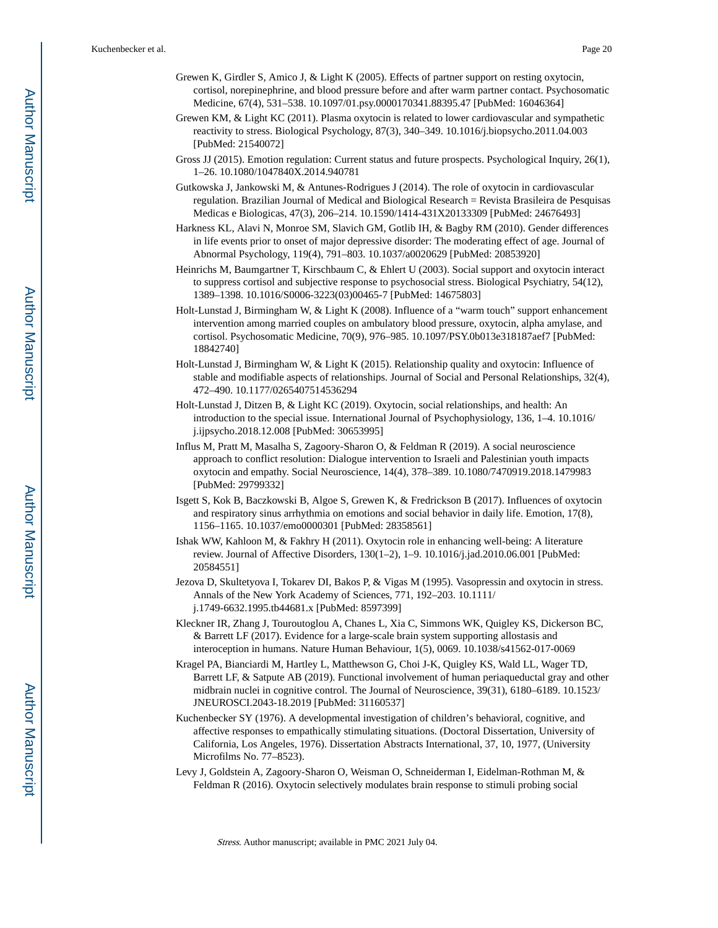- Grewen K, Girdler S, Amico J, & Light K (2005). Effects of partner support on resting oxytocin, cortisol, norepinephrine, and blood pressure before and after warm partner contact. Psychosomatic Medicine, 67(4), 531–538. 10.1097/01.psy.0000170341.88395.47 [PubMed: 16046364]
- Grewen KM, & Light KC (2011). Plasma oxytocin is related to lower cardiovascular and sympathetic reactivity to stress. Biological Psychology, 87(3), 340–349. 10.1016/j.biopsycho.2011.04.003 [PubMed: 21540072]
- Gross JJ (2015). Emotion regulation: Current status and future prospects. Psychological Inquiry, 26(1), 1–26. 10.1080/1047840X.2014.940781
- Gutkowska J, Jankowski M, & Antunes-Rodrigues J (2014). The role of oxytocin in cardiovascular regulation. Brazilian Journal of Medical and Biological Research = Revista Brasileira de Pesquisas Medicas e Biologicas, 47(3), 206–214. 10.1590/1414-431X20133309 [PubMed: 24676493]
- Harkness KL, Alavi N, Monroe SM, Slavich GM, Gotlib IH, & Bagby RM (2010). Gender differences in life events prior to onset of major depressive disorder: The moderating effect of age. Journal of Abnormal Psychology, 119(4), 791–803. 10.1037/a0020629 [PubMed: 20853920]
- Heinrichs M, Baumgartner T, Kirschbaum C, & Ehlert U (2003). Social support and oxytocin interact to suppress cortisol and subjective response to psychosocial stress. Biological Psychiatry, 54(12), 1389–1398. 10.1016/S0006-3223(03)00465-7 [PubMed: 14675803]
- Holt-Lunstad J, Birmingham W, & Light K (2008). Influence of a "warm touch" support enhancement intervention among married couples on ambulatory blood pressure, oxytocin, alpha amylase, and cortisol. Psychosomatic Medicine, 70(9), 976–985. 10.1097/PSY.0b013e318187aef7 [PubMed: 18842740]
- Holt-Lunstad J, Birmingham W, & Light K (2015). Relationship quality and oxytocin: Influence of stable and modifiable aspects of relationships. Journal of Social and Personal Relationships, 32(4), 472–490. 10.1177/0265407514536294
- Holt-Lunstad J, Ditzen B, & Light KC (2019). Oxytocin, social relationships, and health: An introduction to the special issue. International Journal of Psychophysiology, 136, 1–4. 10.1016/ j.ijpsycho.2018.12.008 [PubMed: 30653995]
- Influs M, Pratt M, Masalha S, Zagoory-Sharon O, & Feldman R (2019). A social neuroscience approach to conflict resolution: Dialogue intervention to Israeli and Palestinian youth impacts oxytocin and empathy. Social Neuroscience, 14(4), 378–389. 10.1080/7470919.2018.1479983 [PubMed: 29799332]
- Isgett S, Kok B, Baczkowski B, Algoe S, Grewen K, & Fredrickson B (2017). Influences of oxytocin and respiratory sinus arrhythmia on emotions and social behavior in daily life. Emotion, 17(8), 1156–1165. 10.1037/emo0000301 [PubMed: 28358561]
- Ishak WW, Kahloon M, & Fakhry H (2011). Oxytocin role in enhancing well-being: A literature review. Journal of Affective Disorders, 130(1–2), 1–9. 10.1016/j.jad.2010.06.001 [PubMed: 20584551]
- Jezova D, Skultetyova I, Tokarev DI, Bakos P, & Vigas M (1995). Vasopressin and oxytocin in stress. Annals of the New York Academy of Sciences, 771, 192–203. 10.1111/ j.1749-6632.1995.tb44681.x [PubMed: 8597399]
- Kleckner IR, Zhang J, Touroutoglou A, Chanes L, Xia C, Simmons WK, Quigley KS, Dickerson BC, & Barrett LF (2017). Evidence for a large-scale brain system supporting allostasis and interoception in humans. Nature Human Behaviour, 1(5), 0069. 10.1038/s41562-017-0069
- Kragel PA, Bianciardi M, Hartley L, Matthewson G, Choi J-K, Quigley KS, Wald LL, Wager TD, Barrett LF, & Satpute AB (2019). Functional involvement of human periaqueductal gray and other midbrain nuclei in cognitive control. The Journal of Neuroscience, 39(31), 6180–6189. 10.1523/ JNEUROSCI.2043-18.2019 [PubMed: 31160537]
- Kuchenbecker SY (1976). A developmental investigation of children's behavioral, cognitive, and affective responses to empathically stimulating situations. (Doctoral Dissertation, University of California, Los Angeles, 1976). Dissertation Abstracts International, 37, 10, 1977, (University Microfilms No. 77–8523).
- Levy J, Goldstein A, Zagoory-Sharon O, Weisman O, Schneiderman I, Eidelman-Rothman M, & Feldman R (2016). Oxytocin selectively modulates brain response to stimuli probing social

Stress. Author manuscript; available in PMC 2021 July 04.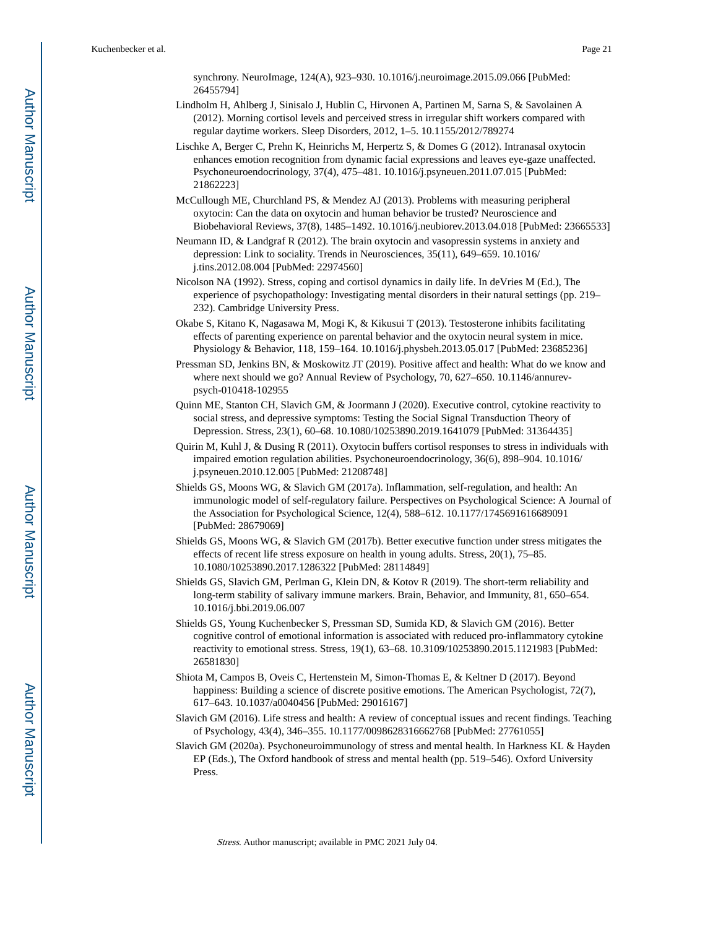synchrony. NeuroImage, 124(A), 923–930. 10.1016/j.neuroimage.2015.09.066 [PubMed: 26455794]

- Lindholm H, Ahlberg J, Sinisalo J, Hublin C, Hirvonen A, Partinen M, Sarna S, & Savolainen A (2012). Morning cortisol levels and perceived stress in irregular shift workers compared with regular daytime workers. Sleep Disorders, 2012, 1–5. 10.1155/2012/789274
- Lischke A, Berger C, Prehn K, Heinrichs M, Herpertz S, & Domes G (2012). Intranasal oxytocin enhances emotion recognition from dynamic facial expressions and leaves eye-gaze unaffected. Psychoneuroendocrinology, 37(4), 475–481. 10.1016/j.psyneuen.2011.07.015 [PubMed: 21862223]

McCullough ME, Churchland PS, & Mendez AJ (2013). Problems with measuring peripheral oxytocin: Can the data on oxytocin and human behavior be trusted? Neuroscience and Biobehavioral Reviews, 37(8), 1485–1492. 10.1016/j.neubiorev.2013.04.018 [PubMed: 23665533]

Neumann ID, & Landgraf R (2012). The brain oxytocin and vasopressin systems in anxiety and depression: Link to sociality. Trends in Neurosciences, 35(11), 649–659. 10.1016/ j.tins.2012.08.004 [PubMed: 22974560]

- Nicolson NA (1992). Stress, coping and cortisol dynamics in daily life. In deVries M (Ed.), The experience of psychopathology: Investigating mental disorders in their natural settings (pp. 219– 232). Cambridge University Press.
- Okabe S, Kitano K, Nagasawa M, Mogi K, & Kikusui T (2013). Testosterone inhibits facilitating effects of parenting experience on parental behavior and the oxytocin neural system in mice. Physiology & Behavior, 118, 159–164. 10.1016/j.physbeh.2013.05.017 [PubMed: 23685236]

Pressman SD, Jenkins BN, & Moskowitz JT (2019). Positive affect and health: What do we know and where next should we go? Annual Review of Psychology, 70, 627–650. 10.1146/annurevpsych-010418-102955

Quinn ME, Stanton CH, Slavich GM, & Joormann J (2020). Executive control, cytokine reactivity to social stress, and depressive symptoms: Testing the Social Signal Transduction Theory of Depression. Stress, 23(1), 60–68. 10.1080/10253890.2019.1641079 [PubMed: 31364435]

- Quirin M, Kuhl J, & Dusing R (2011). Oxytocin buffers cortisol responses to stress in individuals with impaired emotion regulation abilities. Psychoneuroendocrinology, 36(6), 898–904. 10.1016/ j.psyneuen.2010.12.005 [PubMed: 21208748]
- Shields GS, Moons WG, & Slavich GM (2017a). Inflammation, self-regulation, and health: An immunologic model of self-regulatory failure. Perspectives on Psychological Science: A Journal of the Association for Psychological Science, 12(4), 588–612. 10.1177/1745691616689091 [PubMed: 28679069]
- Shields GS, Moons WG, & Slavich GM (2017b). Better executive function under stress mitigates the effects of recent life stress exposure on health in young adults. Stress, 20(1), 75–85. 10.1080/10253890.2017.1286322 [PubMed: 28114849]

Shields GS, Slavich GM, Perlman G, Klein DN, & Kotov R (2019). The short-term reliability and long-term stability of salivary immune markers. Brain, Behavior, and Immunity, 81, 650–654. 10.1016/j.bbi.2019.06.007

- Shields GS, Young Kuchenbecker S, Pressman SD, Sumida KD, & Slavich GM (2016). Better cognitive control of emotional information is associated with reduced pro-inflammatory cytokine reactivity to emotional stress. Stress, 19(1), 63–68. 10.3109/10253890.2015.1121983 [PubMed: 26581830]
- Shiota M, Campos B, Oveis C, Hertenstein M, Simon-Thomas E, & Keltner D (2017). Beyond happiness: Building a science of discrete positive emotions. The American Psychologist, 72(7), 617–643. 10.1037/a0040456 [PubMed: 29016167]
- Slavich GM (2016). Life stress and health: A review of conceptual issues and recent findings. Teaching of Psychology, 43(4), 346–355. 10.1177/0098628316662768 [PubMed: 27761055]
- Slavich GM (2020a). Psychoneuroimmunology of stress and mental health. In Harkness KL & Hayden EP (Eds.), The Oxford handbook of stress and mental health (pp. 519–546). Oxford University Press.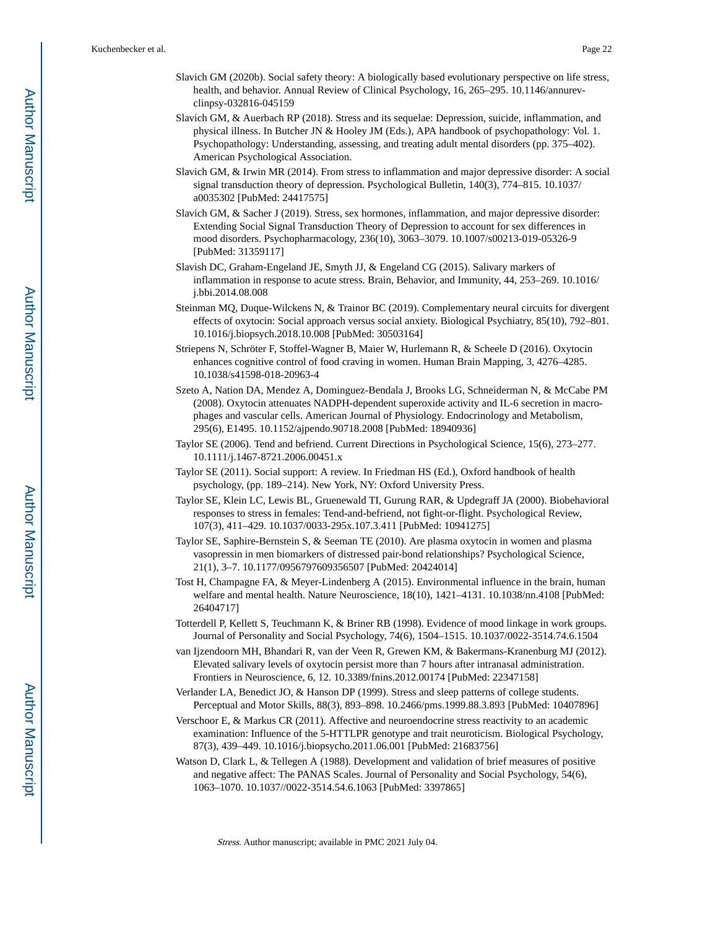- Slavich GM (2020b). Social safety theory: A biologically based evolutionary perspective on life stress, health, and behavior. Annual Review of Clinical Psychology, 16, 265–295. 10.1146/annurevclinpsy-032816-045159
- Slavich GM, & Auerbach RP (2018). Stress and its sequelae: Depression, suicide, inflammation, and physical illness. In Butcher JN & Hooley JM (Eds.), APA handbook of psychopathology: Vol. 1. Psychopathology: Understanding, assessing, and treating adult mental disorders (pp. 375–402). American Psychological Association.
- Slavich GM, & Irwin MR (2014). From stress to inflammation and major depressive disorder: A social signal transduction theory of depression. Psychological Bulletin, 140(3), 774–815. 10.1037/ a0035302 [PubMed: 24417575]
- Slavich GM, & Sacher J (2019). Stress, sex hormones, inflammation, and major depressive disorder: Extending Social Signal Transduction Theory of Depression to account for sex differences in mood disorders. Psychopharmacology, 236(10), 3063–3079. 10.1007/s00213-019-05326-9 [PubMed: 31359117]
- Slavish DC, Graham-Engeland JE, Smyth JJ, & Engeland CG (2015). Salivary markers of inflammation in response to acute stress. Brain, Behavior, and Immunity, 44, 253–269. 10.1016/ j.bbi.2014.08.008
- Steinman MQ, Duque-Wilckens N, & Trainor BC (2019). Complementary neural circuits for divergent effects of oxytocin: Social approach versus social anxiety. Biological Psychiatry, 85(10), 792–801. 10.1016/j.biopsych.2018.10.008 [PubMed: 30503164]
- Striepens N, Schröter F, Stoffel-Wagner B, Maier W, Hurlemann R, & Scheele D (2016). Oxytocin enhances cognitive control of food craving in women. Human Brain Mapping, 3, 4276–4285. 10.1038/s41598-018-20963-4
- Szeto A, Nation DA, Mendez A, Dominguez-Bendala J, Brooks LG, Schneiderman N, & McCabe PM (2008). Oxytocin attenuates NADPH-dependent superoxide activity and IL-6 secretion in macrophages and vascular cells. American Journal of Physiology. Endocrinology and Metabolism, 295(6), E1495. 10.1152/ajpendo.90718.2008 [PubMed: 18940936]
- Taylor SE (2006). Tend and befriend. Current Directions in Psychological Science, 15(6), 273–277. 10.1111/j.1467-8721.2006.00451.x
- Taylor SE (2011). Social support: A review. In Friedman HS (Ed.), Oxford handbook of health psychology, (pp. 189–214). New York, NY: Oxford University Press.
- Taylor SE, Klein LC, Lewis BL, Gruenewald TI, Gurung RAR, & Updegraff JA (2000). Biobehavioral responses to stress in females: Tend-and-befriend, not fight-or-flight. Psychological Review, 107(3), 411–429. 10.1037/0033-295x.107.3.411 [PubMed: 10941275]
- Taylor SE, Saphire-Bernstein S, & Seeman TE (2010). Are plasma oxytocin in women and plasma vasopressin in men biomarkers of distressed pair-bond relationships? Psychological Science, 21(1), 3–7. 10.1177/0956797609356507 [PubMed: 20424014]
- Tost H, Champagne FA, & Meyer-Lindenberg A (2015). Environmental influence in the brain, human welfare and mental health. Nature Neuroscience, 18(10), 1421–4131. 10.1038/nn.4108 [PubMed: 26404717]
- Totterdell P, Kellett S, Teuchmann K, & Briner RB (1998). Evidence of mood linkage in work groups. Journal of Personality and Social Psychology, 74(6), 1504–1515. 10.1037/0022-3514.74.6.1504
- van Ijzendoorn MH, Bhandari R, van der Veen R, Grewen KM, & Bakermans-Kranenburg MJ (2012). Elevated salivary levels of oxytocin persist more than 7 hours after intranasal administration. Frontiers in Neuroscience, 6, 12. 10.3389/fnins.2012.00174 [PubMed: 22347158]
- Verlander LA, Benedict JO, & Hanson DP (1999). Stress and sleep patterns of college students. Perceptual and Motor Skills, 88(3), 893–898. 10.2466/pms.1999.88.3.893 [PubMed: 10407896]
- Verschoor E, & Markus CR (2011). Affective and neuroendocrine stress reactivity to an academic examination: Influence of the 5-HTTLPR genotype and trait neuroticism. Biological Psychology, 87(3), 439–449. 10.1016/j.biopsycho.2011.06.001 [PubMed: 21683756]
- Watson D, Clark L, & Tellegen A (1988). Development and validation of brief measures of positive and negative affect: The PANAS Scales. Journal of Personality and Social Psychology, 54(6), 1063–1070. 10.1037//0022-3514.54.6.1063 [PubMed: 3397865]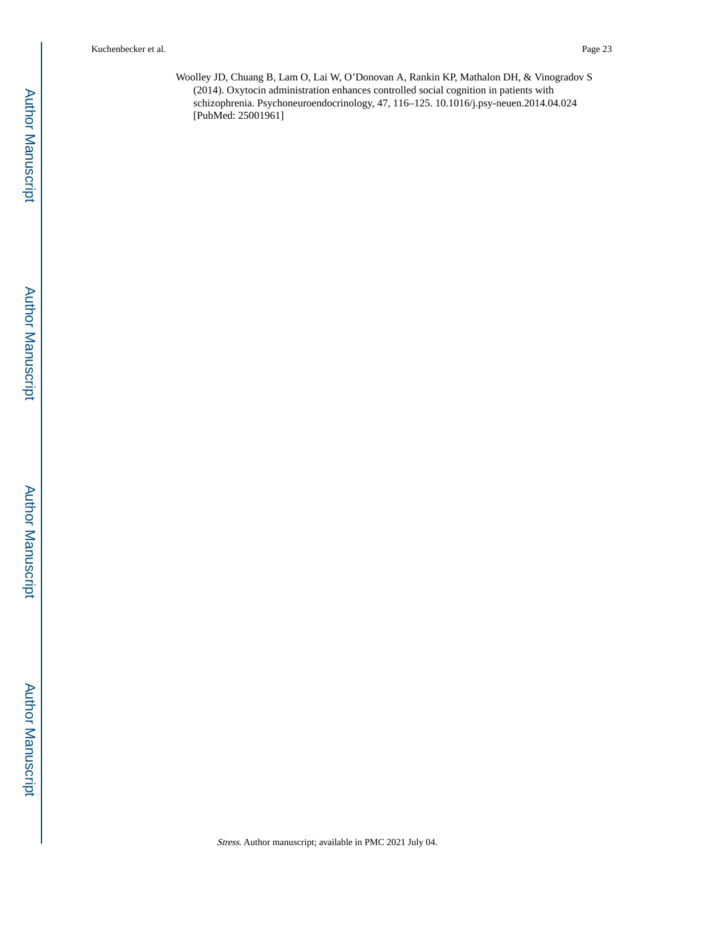Woolley JD, Chuang B, Lam O, Lai W, O'Donovan A, Rankin KP, Mathalon DH, & Vinogradov S (2014). Oxytocin administration enhances controlled social cognition in patients with schizophrenia. Psychoneuroendocrinology, 47, 116–125. 10.1016/j.psy-neuen.2014.04.024 [PubMed: 25001961]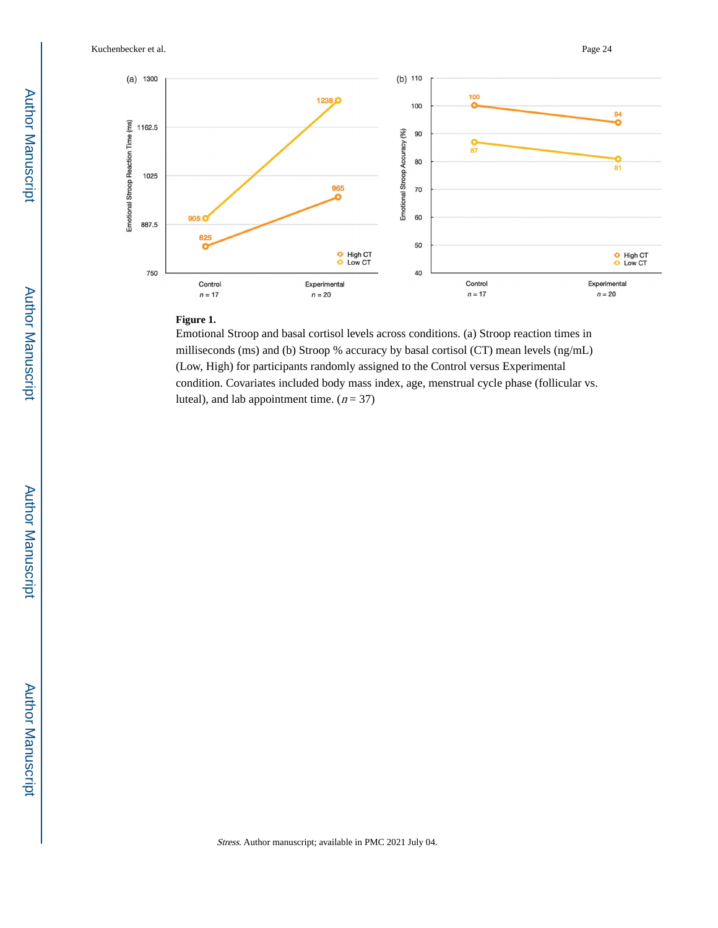Kuchenbecker et al. Page 24



#### **Figure 1.**

Emotional Stroop and basal cortisol levels across conditions. (a) Stroop reaction times in milliseconds (ms) and (b) Stroop % accuracy by basal cortisol (CT) mean levels (ng/mL) (Low, High) for participants randomly assigned to the Control versus Experimental condition. Covariates included body mass index, age, menstrual cycle phase (follicular vs. luteal), and lab appointment time.  $(n = 37)$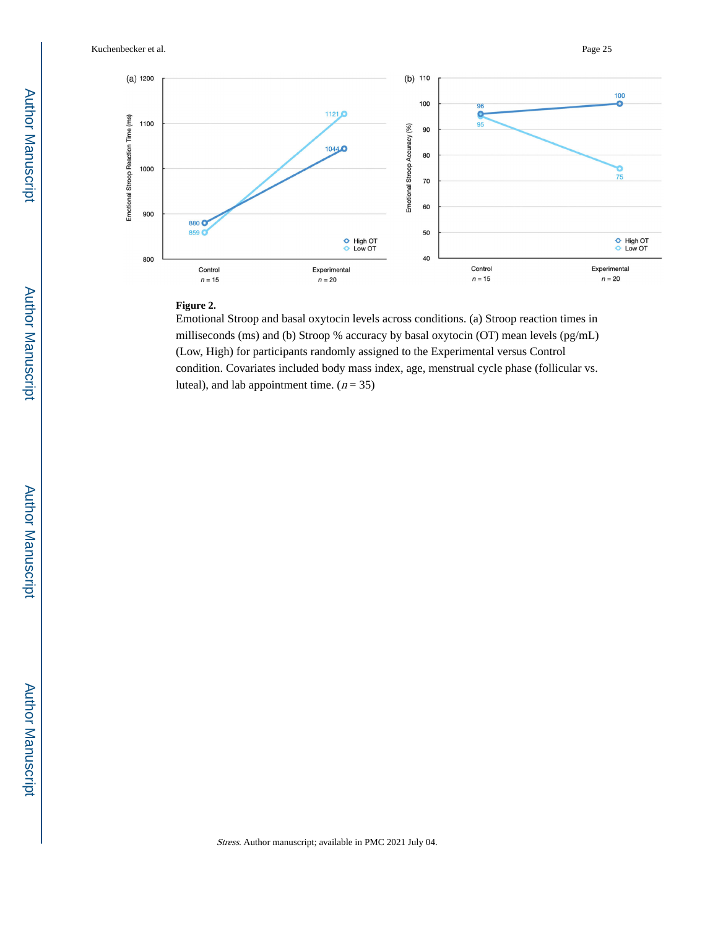Kuchenbecker et al. Page 25



# **Figure 2.**

Emotional Stroop and basal oxytocin levels across conditions. (a) Stroop reaction times in milliseconds (ms) and (b) Stroop % accuracy by basal oxytocin (OT) mean levels (pg/mL) (Low, High) for participants randomly assigned to the Experimental versus Control condition. Covariates included body mass index, age, menstrual cycle phase (follicular vs. luteal), and lab appointment time.  $(n = 35)$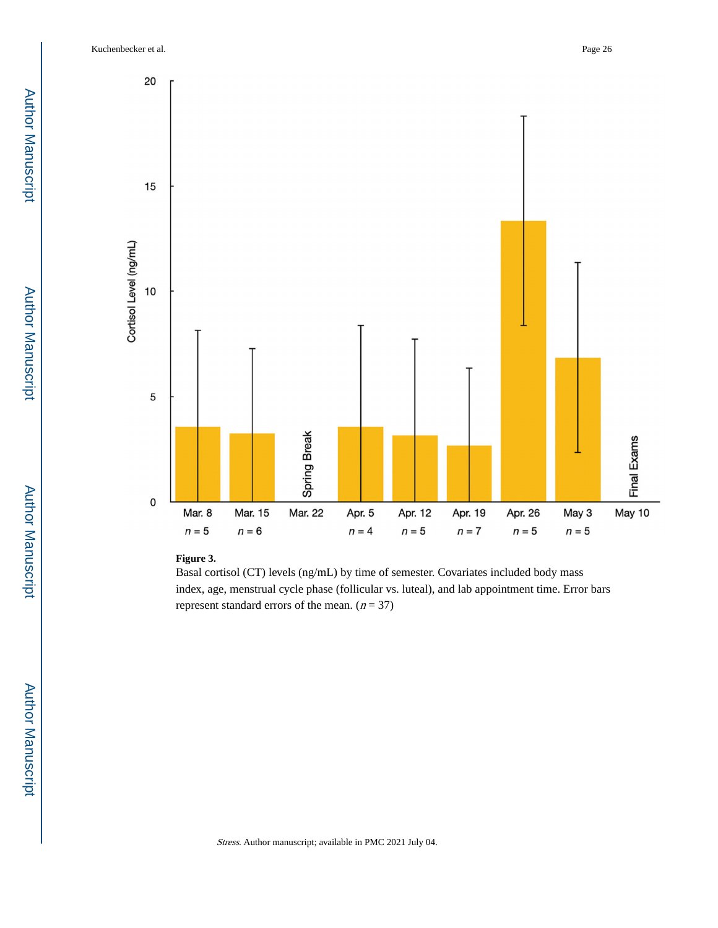Kuchenbecker et al. Page 26



## **Figure 3.**

Basal cortisol (CT) levels (ng/mL) by time of semester. Covariates included body mass index, age, menstrual cycle phase (follicular vs. luteal), and lab appointment time. Error bars represent standard errors of the mean.  $(n = 37)$